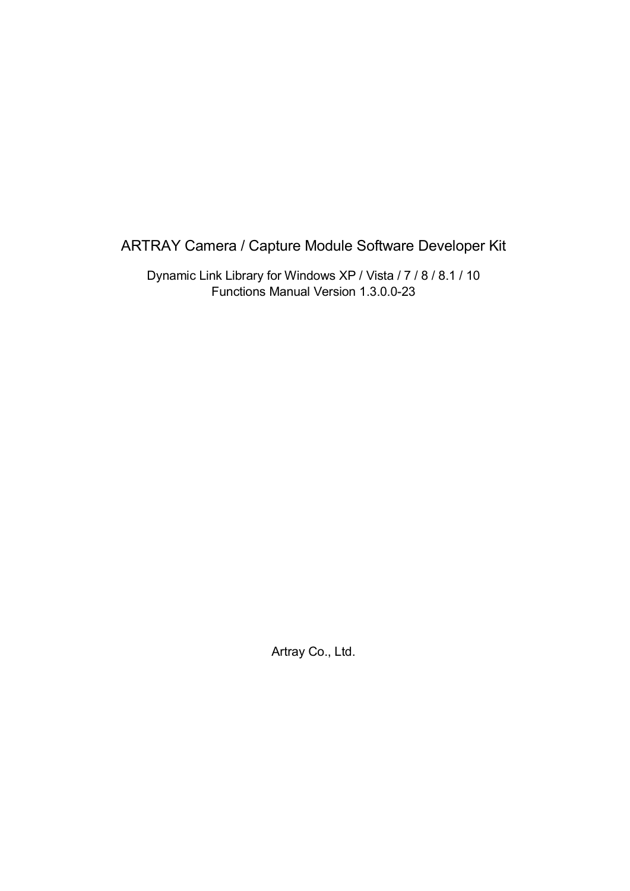#### ARTRAY Camera / Capture Module Software Developer Kit

Dynamic Link Library for Windows XP / Vista / 7 / 8 / 8.1 / 10 Functions Manual Version 1.3.0.0-23

Artray Co., Ltd.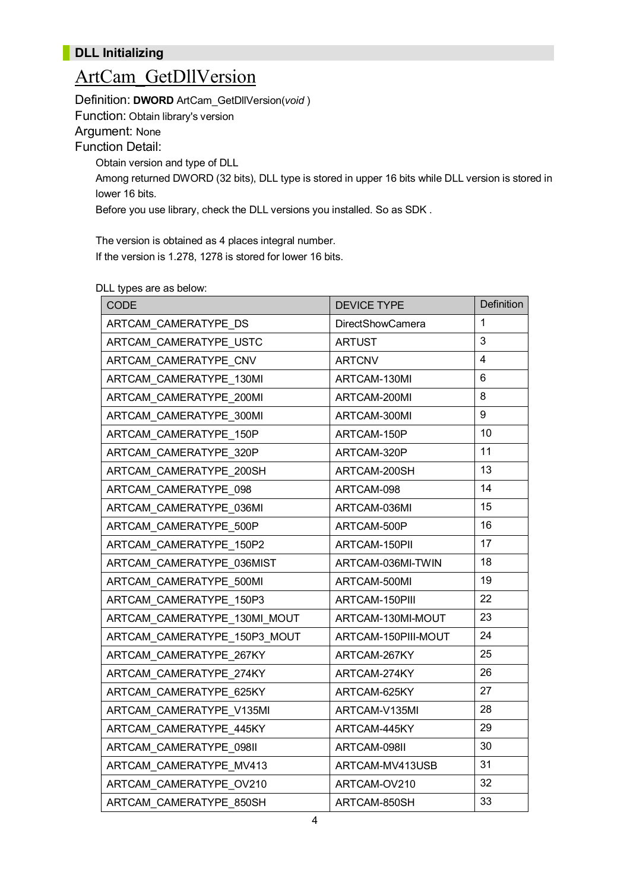#### **DLL Initializing**

### ArtCam\_GetDllVersion

Definition: **DWORD** ArtCam\_GetDllVersion(*void* )

Function: Obtain library's version

#### Argument: None

Function Detail:

Obtain version and type of DLL

Among returned DWORD (32 bits), DLL type is stored in upper 16 bits while DLL version is stored in lower 16 bits.

Before you use library, check the DLL versions you installed. So as SDK .

The version is obtained as 4 places integral number. If the version is 1.278, 1278 is stored for lower 16 bits.

DLL types are as below:

| <b>CODE</b>                  | <b>DEVICE TYPE</b>      | Definition     |
|------------------------------|-------------------------|----------------|
| ARTCAM CAMERATYPE DS         | <b>DirectShowCamera</b> | $\mathbf{1}$   |
| ARTCAM CAMERATYPE USTC       | <b>ARTUST</b>           | 3              |
| ARTCAM CAMERATYPE CNV        | <b>ARTCNV</b>           | $\overline{4}$ |
| ARTCAM CAMERATYPE 130MI      | ARTCAM-130MI            | 6              |
| ARTCAM CAMERATYPE 200MI      | ARTCAM-200MI            | 8              |
| ARTCAM CAMERATYPE 300MI      | ARTCAM-300MI            | 9              |
| ARTCAM CAMERATYPE 150P       | ARTCAM-150P             | 10             |
| ARTCAM_CAMERATYPE_320P       | ARTCAM-320P             | 11             |
| ARTCAM CAMERATYPE 200SH      | ARTCAM-200SH            | 13             |
| ARTCAM CAMERATYPE 098        | ARTCAM-098              | 14             |
| ARTCAM CAMERATYPE 036MI      | ARTCAM-036MI            | 15             |
| ARTCAM CAMERATYPE 500P       | ARTCAM-500P             | 16             |
| ARTCAM CAMERATYPE 150P2      | ARTCAM-150PII           | 17             |
| ARTCAM CAMERATYPE 036MIST    | ARTCAM-036MI-TWIN       | 18             |
| ARTCAM CAMERATYPE 500MI      | ARTCAM-500MI            | 19             |
| ARTCAM CAMERATYPE 150P3      | ARTCAM-150PIII          | 22             |
| ARTCAM CAMERATYPE 130MI MOUT | ARTCAM-130MI-MOUT       | 23             |
| ARTCAM_CAMERATYPE_150P3_MOUT | ARTCAM-150PIII-MOUT     | 24             |
| ARTCAM CAMERATYPE 267KY      | ARTCAM-267KY            | 25             |
| ARTCAM CAMERATYPE 274KY      | ARTCAM-274KY            | 26             |
| ARTCAM CAMERATYPE 625KY      | ARTCAM-625KY            | 27             |
| ARTCAM CAMERATYPE V135MI     | ARTCAM-V135MI           | 28             |
| ARTCAM CAMERATYPE 445KY      | ARTCAM-445KY            | 29             |
| ARTCAM CAMERATYPE 098II      | ARTCAM-098II            | 30             |
| ARTCAM_CAMERATYPE_MV413      | ARTCAM-MV413USB         | 31             |
| ARTCAM CAMERATYPE OV210      | ARTCAM-OV210            | 32             |
| ARTCAM CAMERATYPE 850SH      | ARTCAM-850SH            | 33             |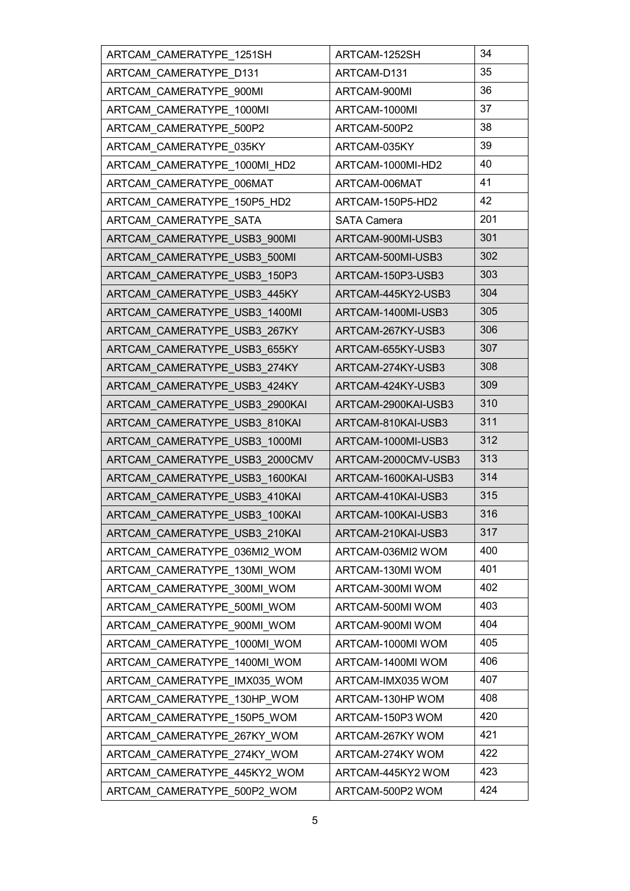| ARTCAM CAMERATYPE 1251SH       | ARTCAM-1252SH       | 34  |
|--------------------------------|---------------------|-----|
| ARTCAM CAMERATYPE D131         | ARTCAM-D131         | 35  |
| ARTCAM CAMERATYPE 900MI        | ARTCAM-900MI        | 36  |
| ARTCAM CAMERATYPE 1000MI       | ARTCAM-1000MI       | 37  |
| ARTCAM CAMERATYPE 500P2        | ARTCAM-500P2        | 38  |
| ARTCAM CAMERATYPE 035KY        | ARTCAM-035KY        | 39  |
| ARTCAM CAMERATYPE 1000MI HD2   | ARTCAM-1000MI-HD2   | 40  |
| ARTCAM CAMERATYPE 006MAT       | ARTCAM-006MAT       | 41  |
| ARTCAM CAMERATYPE 150P5 HD2    | ARTCAM-150P5-HD2    | 42  |
| ARTCAM CAMERATYPE SATA         | <b>SATA Camera</b>  | 201 |
| ARTCAM CAMERATYPE USB3 900MI   | ARTCAM-900MI-USB3   | 301 |
| ARTCAM CAMERATYPE USB3 500MI   | ARTCAM-500MI-USB3   | 302 |
| ARTCAM CAMERATYPE USB3 150P3   | ARTCAM-150P3-USB3   | 303 |
| ARTCAM_CAMERATYPE_USB3_445KY   | ARTCAM-445KY2-USB3  | 304 |
| ARTCAM CAMERATYPE USB3 1400MI  | ARTCAM-1400MI-USB3  | 305 |
| ARTCAM_CAMERATYPE_USB3_267KY   | ARTCAM-267KY-USB3   | 306 |
| ARTCAM CAMERATYPE USB3 655KY   | ARTCAM-655KY-USB3   | 307 |
| ARTCAM_CAMERATYPE_USB3_274KY   | ARTCAM-274KY-USB3   | 308 |
| ARTCAM CAMERATYPE USB3 424KY   | ARTCAM-424KY-USB3   | 309 |
| ARTCAM_CAMERATYPE_USB3_2900KAI | ARTCAM-2900KAI-USB3 | 310 |
| ARTCAM CAMERATYPE USB3 810KAI  | ARTCAM-810KAI-USB3  | 311 |
| ARTCAM CAMERATYPE USB3 1000MI  | ARTCAM-1000MI-USB3  | 312 |
| ARTCAM CAMERATYPE USB3 2000CMV | ARTCAM-2000CMV-USB3 | 313 |
| ARTCAM CAMERATYPE USB3 1600KAI | ARTCAM-1600KAI-USB3 | 314 |
| ARTCAM CAMERATYPE USB3 410KAI  | ARTCAM-410KAI-USB3  | 315 |
| ARTCAM CAMERATYPE USB3 100KAI  | ARTCAM-100KAI-USB3  | 316 |
| ARTCAM_CAMERATYPE_USB3_210KAI  | ARTCAM-210KAI-USB3  | 317 |
| ARTCAM CAMERATYPE 036MI2 WOM   | ARTCAM-036MI2 WOM   | 400 |
| ARTCAM CAMERATYPE 130MI WOM    | ARTCAM-130MI WOM    | 401 |
| ARTCAM_CAMERATYPE_300MI_WOM    | ARTCAM-300MI WOM    | 402 |
| ARTCAM CAMERATYPE 500MI WOM    | ARTCAM-500MI WOM    | 403 |
| ARTCAM CAMERATYPE 900MI WOM    | ARTCAM-900MI WOM    | 404 |
| ARTCAM CAMERATYPE 1000MI WOM   | ARTCAM-1000MI WOM   | 405 |
| ARTCAM CAMERATYPE 1400MI WOM   | ARTCAM-1400MI WOM   | 406 |
| ARTCAM_CAMERATYPE_IMX035_WOM   | ARTCAM-IMX035 WOM   | 407 |
| ARTCAM_CAMERATYPE_130HP_WOM    | ARTCAM-130HP WOM    | 408 |
| ARTCAM CAMERATYPE 150P5 WOM    | ARTCAM-150P3 WOM    | 420 |
| ARTCAM_CAMERATYPE_267KY_WOM    | ARTCAM-267KY WOM    | 421 |
| ARTCAM CAMERATYPE 274KY WOM    | ARTCAM-274KY WOM    | 422 |
| ARTCAM_CAMERATYPE_445KY2_WOM   | ARTCAM-445KY2 WOM   | 423 |
| ARTCAM_CAMERATYPE_500P2_WOM    | ARTCAM-500P2 WOM    | 424 |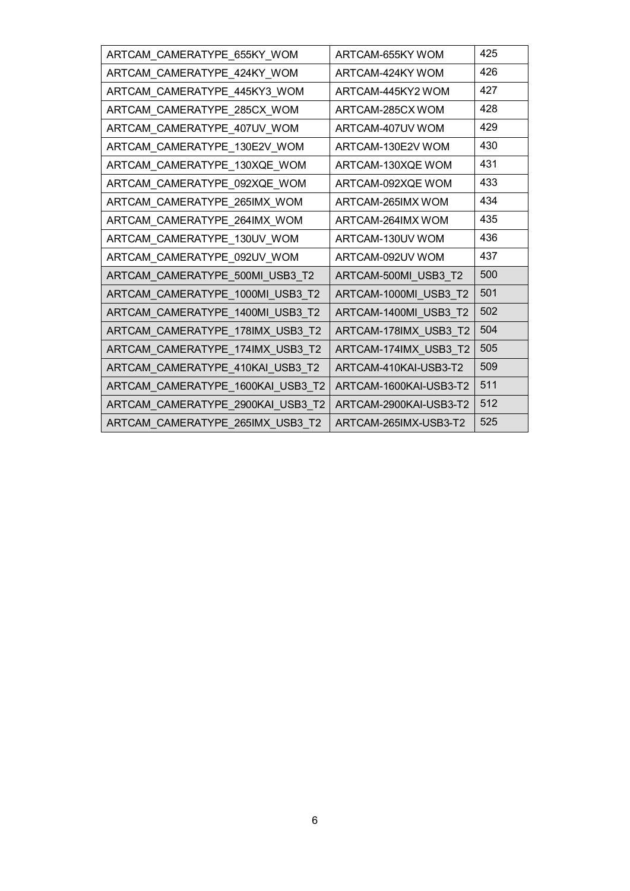| ARTCAM_CAMERATYPE_655KY_WOM       | ARTCAM-655KY WOM       | 425 |
|-----------------------------------|------------------------|-----|
| ARTCAM_CAMERATYPE_424KY_WOM       | ARTCAM-424KY WOM       | 426 |
| ARTCAM_CAMERATYPE_445KY3_WOM      | ARTCAM-445KY2 WOM      | 427 |
| ARTCAM_CAMERATYPE_285CX_WOM       | ARTCAM-285CX WOM       | 428 |
| ARTCAM_CAMERATYPE_407UV_WOM       | ARTCAM-407UV WOM       | 429 |
| ARTCAM_CAMERATYPE_130E2V_WOM      | ARTCAM-130E2V WOM      | 430 |
| ARTCAM_CAMERATYPE_130XQE_WOM      | ARTCAM-130XQE WOM      | 431 |
| ARTCAM_CAMERATYPE_092XQE_WOM      | ARTCAM-092XQE WOM      | 433 |
| ARTCAM_CAMERATYPE_265IMX_WOM      | ARTCAM-265IMX WOM      | 434 |
| ARTCAM_CAMERATYPE_264IMX_WOM      | ARTCAM-264IMX WOM      | 435 |
| ARTCAM_CAMERATYPE_130UV_WOM       | ARTCAM-130UV WOM       | 436 |
| ARTCAM_CAMERATYPE_092UV_WOM       | ARTCAM-092UV WOM       | 437 |
| ARTCAM_CAMERATYPE_500MI_USB3_T2   | ARTCAM-500MI_USB3_T2   | 500 |
| ARTCAM_CAMERATYPE_1000MI_USB3_T2  | ARTCAM-1000MI_USB3_T2  | 501 |
| ARTCAM_CAMERATYPE_1400MI_USB3_T2  | ARTCAM-1400MI_USB3_T2  | 502 |
| ARTCAM_CAMERATYPE_178IMX_USB3_T2  | ARTCAM-178IMX_USB3_T2  | 504 |
| ARTCAM_CAMERATYPE_174IMX_USB3_T2  | ARTCAM-174IMX_USB3_T2  | 505 |
| ARTCAM_CAMERATYPE_410KAI_USB3_T2  | ARTCAM-410KAI-USB3-T2  | 509 |
| ARTCAM_CAMERATYPE_1600KAI_USB3_T2 | ARTCAM-1600KAI-USB3-T2 | 511 |
| ARTCAM_CAMERATYPE_2900KAI_USB3_T2 | ARTCAM-2900KAI-USB3-T2 | 512 |
| ARTCAM_CAMERATYPE_265IMX_USB3_T2  | ARTCAM-265IMX-USB3-T2  | 525 |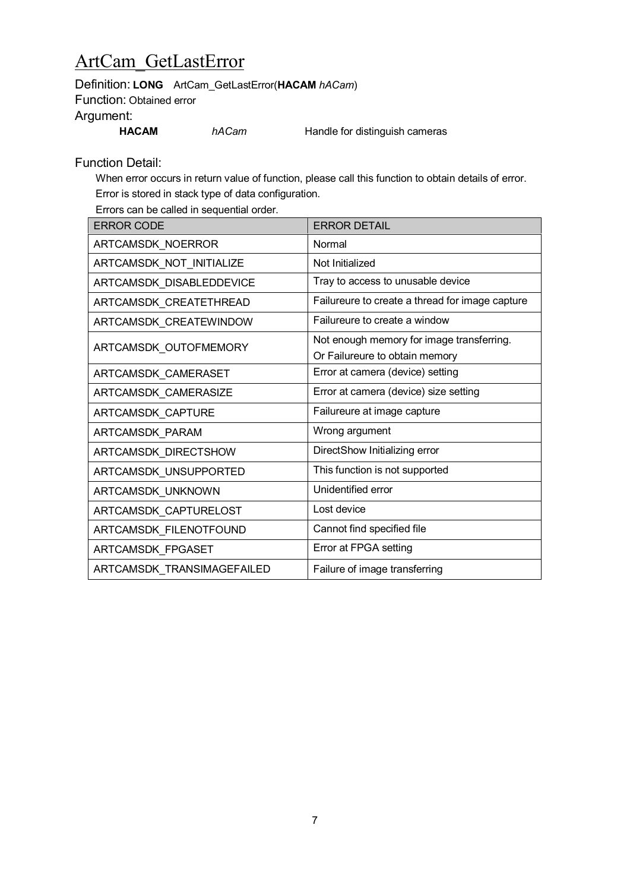## ArtCam\_GetLastError

Definition: **LONG** ArtCam\_GetLastError(**HACAM** *hACam*)

Function: Obtained error

Argument:

**HACAM** *hACam* Handle for distinguish cameras

Function Detail:

When error occurs in return value of function, please call this function to obtain details of error. Error is stored in stack type of data configuration.

Errors can be called in sequential order.

| <b>ERROR CODE</b>          | <b>ERROR DETAIL</b>                             |
|----------------------------|-------------------------------------------------|
| ARTCAMSDK_NOERROR          | Normal                                          |
| ARTCAMSDK_NOT_INITIALIZE   | Not Initialized                                 |
| ARTCAMSDK_DISABLEDDEVICE   | Tray to access to unusable device               |
| ARTCAMSDK_CREATETHREAD     | Failureure to create a thread for image capture |
| ARTCAMSDK_CREATEWINDOW     | Failureure to create a window                   |
|                            | Not enough memory for image transferring.       |
| ARTCAMSDK_OUTOFMEMORY      | Or Failureure to obtain memory                  |
| ARTCAMSDK_CAMERASET        | Error at camera (device) setting                |
| ARTCAMSDK CAMERASIZE       | Error at camera (device) size setting           |
| ARTCAMSDK_CAPTURE          | Failureure at image capture                     |
| ARTCAMSDK_PARAM            | Wrong argument                                  |
| ARTCAMSDK_DIRECTSHOW       | DirectShow Initializing error                   |
| ARTCAMSDK_UNSUPPORTED      | This function is not supported                  |
| ARTCAMSDK_UNKNOWN          | Unidentified error                              |
| ARTCAMSDK_CAPTURELOST      | Lost device                                     |
| ARTCAMSDK_FILENOTFOUND     | Cannot find specified file                      |
| ARTCAMSDK_FPGASET          | Error at FPGA setting                           |
| ARTCAMSDK_TRANSIMAGEFAILED | Failure of image transferring                   |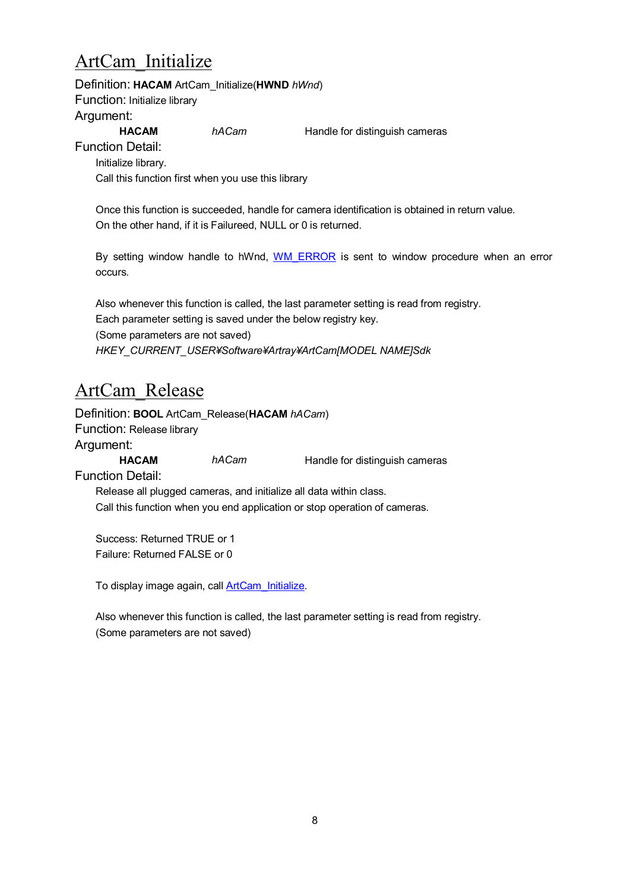# <span id="page-7-0"></span>ArtCam\_Initialize

Definition: **HACAM** ArtCam\_Initialize(**HWND** *hWnd*) Function: Initialize library Argument: **HACAM** *hACam* **Handle for distinguish cameras** Function Detail:

Initialize library. Call this function first when you use this library

Once this function is succeeded, handle for camera identification is obtained in return value. On the other hand, if it is Failureed, NULL or 0 is returned.

By setting window handle to hWnd, [WM\\_ERROR](#page-14-0) is sent to window procedure when an error occurs.

Also whenever this function is called, the last parameter setting is read from registry. Each parameter setting is saved under the below registry key. (Some parameters are not saved) *HKEY\_CURRENT\_USER¥Software¥Artray¥ArtCam[MODEL NAME]Sdk*

## ArtCam\_Release

Definition: **BOOL** ArtCam\_Release(**HACAM** *hACam*) Function: Release library

Argument:

**HACAM** *hACam* Handle for distinguish cameras

Function Detail:

Release all plugged cameras, and initialize all data within class. Call this function when you end application or stop operation of cameras.

Success: Returned TRUE or 1 Failure: Returned FALSE or 0

To display image again, call **ArtCam** Initialize.

Also whenever this function is called, the last parameter setting is read from registry. (Some parameters are not saved)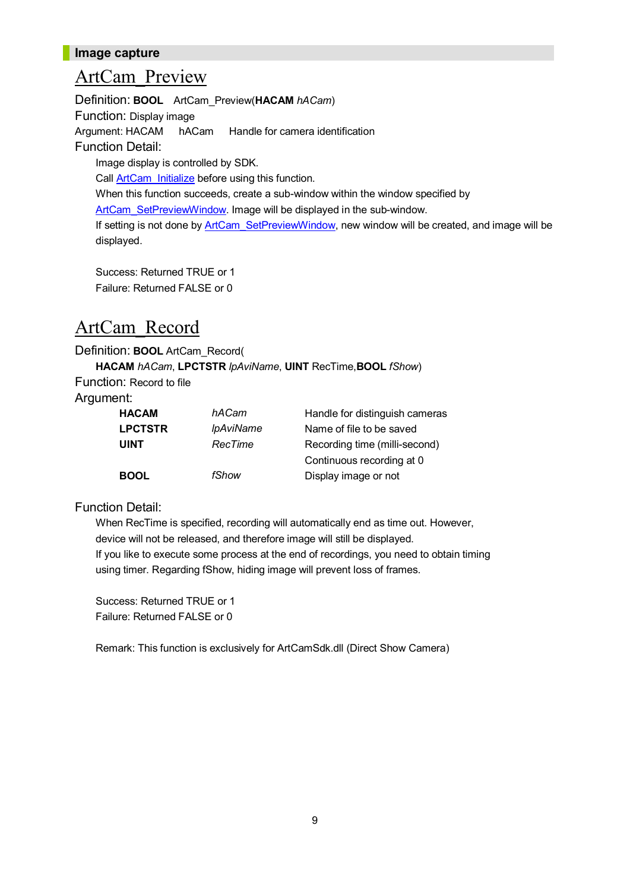#### **Image capture**

#### <span id="page-8-0"></span>ArtCam\_Preview

Definition: **BOOL** ArtCam\_Preview(**HACAM** *hACam*) Function: Display image Argument: HACAM hACam Handle for camera identification Function Detail: Image display is controlled by SDK. Call **ArtCam** Initialize before using this function. When this function succeeds, create a sub-window within the window specified by [ArtCam\\_SetPreviewWindow.](#page-20-0) Image will be displayed in the sub-window. If setting is not done by **[ArtCam\\_SetPreviewWindow](#page-20-0)**, new window will be created, and image will be displayed.

Success: Returned TRUE or 1 Failure: Returned FALSE or 0

#### <span id="page-8-1"></span>ArtCam\_Record

Definition: **BOOL** ArtCam\_Record(

**HACAM** *hACam*, **LPCTSTR** *lpAviName*, **UINT** RecTime,**BOOL** *fShow*)

Function: Record to file

#### Argument:

| <b>HACAM</b>   | hACam                   | Handle for distinguish cameras |
|----------------|-------------------------|--------------------------------|
| <b>LPCTSTR</b> | <i><b>IpAviName</b></i> | Name of file to be saved       |
| <b>UINT</b>    | RecTime                 | Recording time (milli-second)  |
|                |                         | Continuous recording at 0      |
| <b>BOOL</b>    | fShow                   | Display image or not           |

Function Detail:

When RecTime is specified, recording will automatically end as time out. However, device will not be released, and therefore image will still be displayed. If you like to execute some process at the end of recordings, you need to obtain timing using timer. Regarding fShow, hiding image will prevent loss of frames.

Success: Returned TRUE or 1 Failure: Returned FALSE or 0

<span id="page-8-2"></span>Remark: This function is exclusively for ArtCamSdk.dll (Direct Show Camera)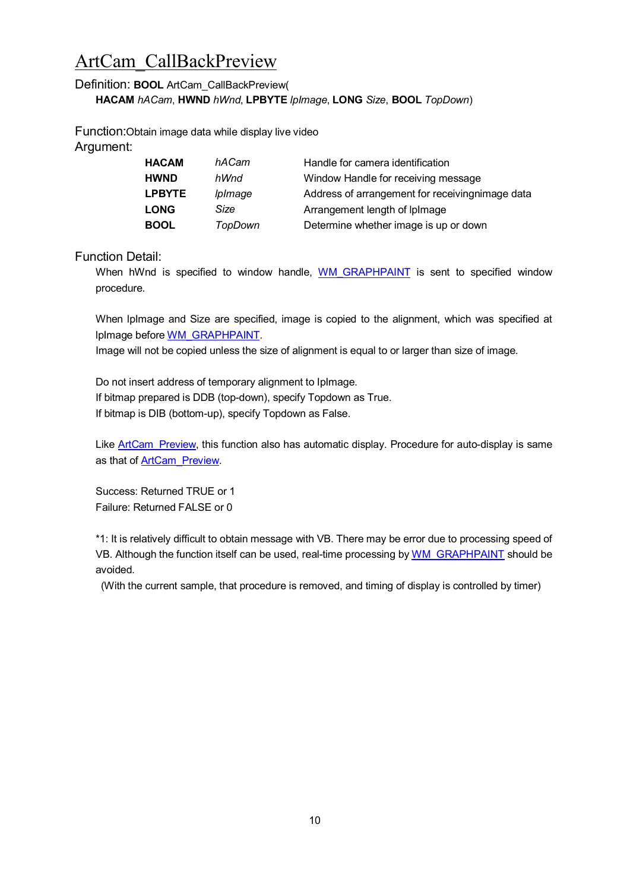### <span id="page-9-0"></span>ArtCam\_CallBackPreview

#### Definition: **BOOL** ArtCam\_CallBackPreview(

**HACAM** *hACam*, **HWND** *hWnd*, **LPBYTE** *lpImage*, **LONG** *Size*, **BOOL** *TopDown*)

Function:Obtain image data while display live video Argument:

| <b>HACAM</b>  | hACam          | Handle for camera identification                 |
|---------------|----------------|--------------------------------------------------|
| <b>HWND</b>   | hWnd           | Window Handle for receiving message              |
| <b>LPBYTE</b> | <i>lplmage</i> | Address of arrangement for receiving nimage data |
| <b>LONG</b>   | Size           | Arrangement length of IpImage                    |
| <b>BOOL</b>   | TopDown        | Determine whether image is up or down            |

Function Detail:

When hWnd is specified to window handle, WM GRAPHPAINT is sent to specified window procedure.

When lpImage and Size are specified, image is copied to the alignment, which was specified at lpImage before [WM\\_GRAPHPAINT](#page-13-0).

Image will not be copied unless the size of alignment is equal to or larger than size of image.

Do not insert address of temporary alignment to IpImage. If bitmap prepared is DDB (top-down), specify Topdown as True. If bitmap is DIB (bottom-up), specify Topdown as False.

Like ArtCam Preview, this function also has automatic display. Procedure for auto-display is same as that of [ArtCam\\_Preview.](#page-8-0)

Success: Returned TRUE or 1 Failure: Returned FALSE or 0

\*1: It is relatively difficult to obtain message with VB. There may be error due to processing speed of VB. Although the function itself can be used, real-time processing by [WM\\_GRAPHPAINT](#page-13-0) should be avoided.

(With the current sample, that procedure is removed, and timing of display is controlled by timer)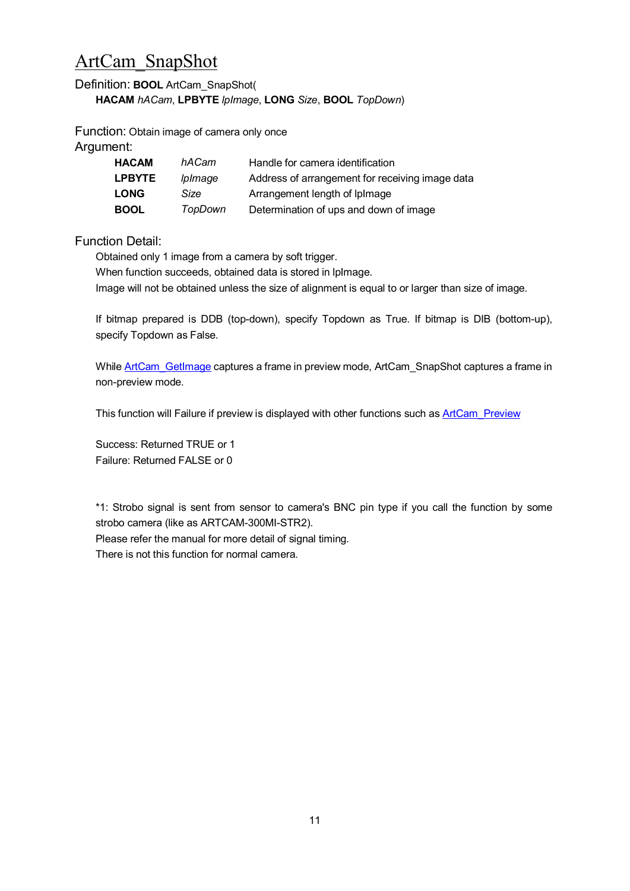### <span id="page-10-0"></span>ArtCam\_SnapShot

#### Definition: **BOOL** ArtCam\_SnapShot(

**HACAM** *hACam*, **LPBYTE** *lpImage*, **LONG** *Size*, **BOOL** *TopDown*)

Function: Obtain image of camera only once

Argument:

| <b>HACAM</b>  | hACam          | Handle for camera identification                |
|---------------|----------------|-------------------------------------------------|
| <b>LPBYTE</b> | <i>lplmage</i> | Address of arrangement for receiving image data |
| <b>LONG</b>   | Size           | Arrangement length of Iplmage                   |
| <b>BOOL</b>   | TopDown        | Determination of ups and down of image          |

Function Detail:

Obtained only 1 image from a camera by soft trigger.

When function succeeds, obtained data is stored in IpImage.

Image will not be obtained unless the size of alignment is equal to or larger than size of image.

If bitmap prepared is DDB (top-down), specify Topdown as True. If bitmap is DIB (bottom-up), specify Topdown as False.

While ArtCam GetImage captures a frame in preview mode, ArtCam SnapShot captures a frame in non-preview mode.

This function will Failure if preview is displayed with other functions such as **[ArtCam\\_Preview](#page-8-0)** 

Success: Returned TRUE or 1 Failure: Returned FALSE or 0

\*1: Strobo signal is sent from sensor to camera's BNC pin type if you call the function by some strobo camera (like as ARTCAM-300MI-STR2). Please refer the manual for more detail of signal timing.

There is not this function for normal camera.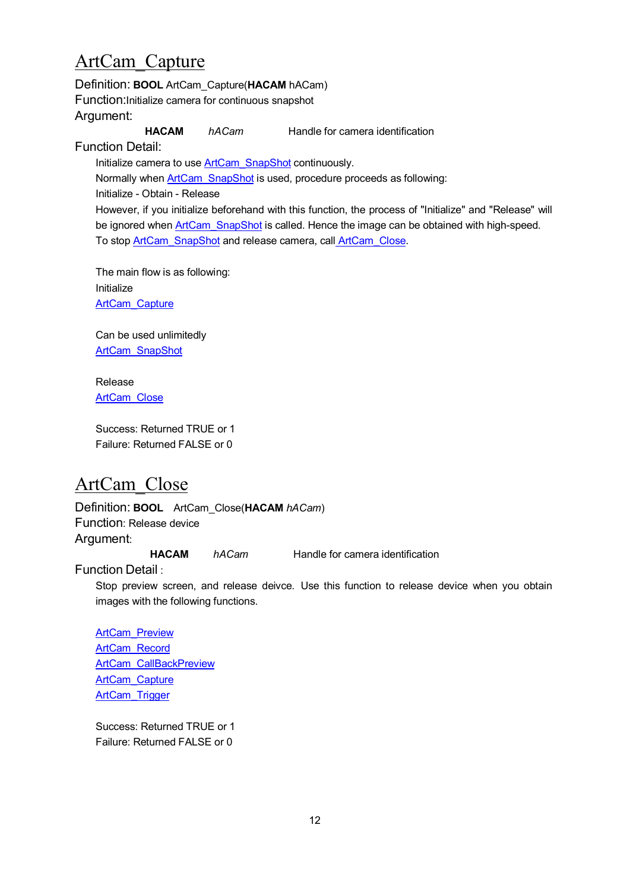### <span id="page-11-1"></span>ArtCam\_Capture

Definition: **BOOL** ArtCam\_Capture(**HACAM** hACam) Function:Initialize camera for continuous snapshot Argument: **HACAM** *hACam* Handle for camera identification Function Detail: Initialize camera to use ArtCam SnapShot continuously.

Normally when **[ArtCam\\_SnapShot](#page-10-0)** is used, procedure proceeds as following: Initialize - Obtain - Release However, if you initialize beforehand with this function, the process of "Initialize" and "Release" will be ignored when ArtCam SnapShot is called. Hence the image can be obtained with high-speed. To stop [ArtCam\\_SnapShot](#page-10-0) and release camera, call [ArtCam\\_Close.](#page-11-0)

The main flow is as following: Initialize [ArtCam\\_Capture](#page-11-1)

Can be used unlimitedly [ArtCam\\_SnapShot](#page-10-0)

Release [ArtCam\\_Close](#page-11-0)

<span id="page-11-2"></span>Success: Returned TRUE or 1 Failure: Returned FALSE or 0

# <span id="page-11-0"></span>ArtCam\_Close

Definition: **BOOL** ArtCam\_Close(**HACAM** *hACam*) Function: Release device Argument:

**HACAM** *hACam* Handle for camera identification

Function Detail :

Stop preview screen, and release deivce. Use this function to release device when you obtain images with the following functions.

[ArtCam\\_Preview](#page-8-0) [ArtCam\\_Record](#page-8-1) [ArtCam\\_CallBackPreview](#page-9-0) [ArtCam\\_Capture](#page-11-1) [ArtCam\\_Trigger](#page-12-0)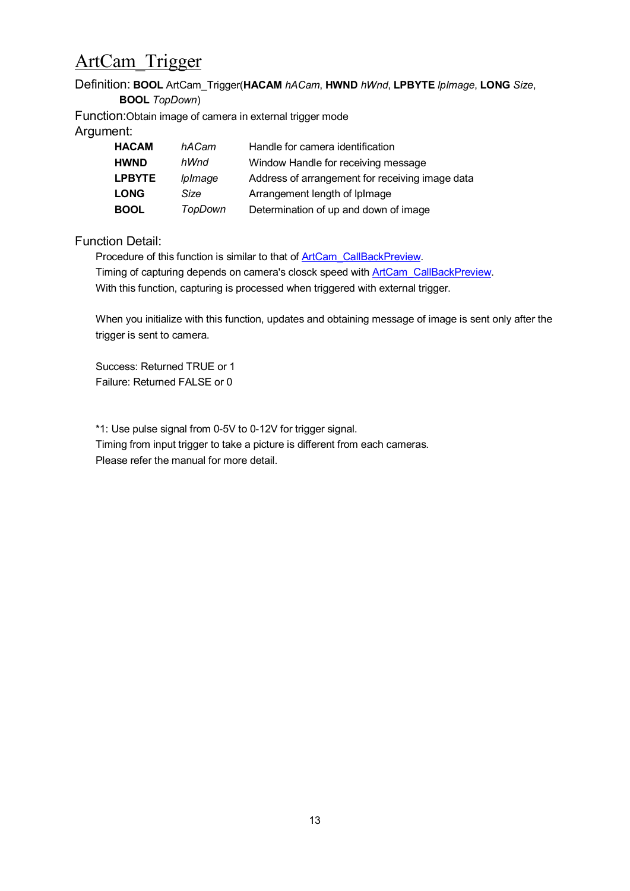# <span id="page-12-0"></span>ArtCam\_Trigger

#### Definition: **BOOL** ArtCam\_Trigger(**HACAM** *hACam*, **HWND** *hWnd*, **LPBYTE** *lpImage*, **LONG** *Size*, **BOOL** *TopDown*)

Function:Obtain image of camera in external trigger mode Argument:

| <b>HACAM</b>  | hACam          | Handle for camera identification                |
|---------------|----------------|-------------------------------------------------|
| <b>HWND</b>   | hWnd           | Window Handle for receiving message             |
| <b>LPBYTE</b> | <i>lplmage</i> | Address of arrangement for receiving image data |
| <b>LONG</b>   | Size           | Arrangement length of Iplmage                   |
| <b>BOOL</b>   | TopDown        | Determination of up and down of image           |

#### Function Detail:

Procedure of this function is similar to that of [ArtCam\\_CallBackPreview.](#page-9-0) Timing of capturing depends on camera's closck speed with [ArtCam\\_CallBackPreview.](#page-8-2) With this function, capturing is processed when triggered with external trigger.

When you initialize with this function, updates and obtaining message of image is sent only after the trigger is sent to camera.

Success: Returned TRUE or 1 Failure: Returned FALSE or 0

\*1: Use pulse signal from 0-5V to 0-12V for trigger signal.

Timing from input trigger to take a picture is different from each cameras. Please refer the manual for more detail.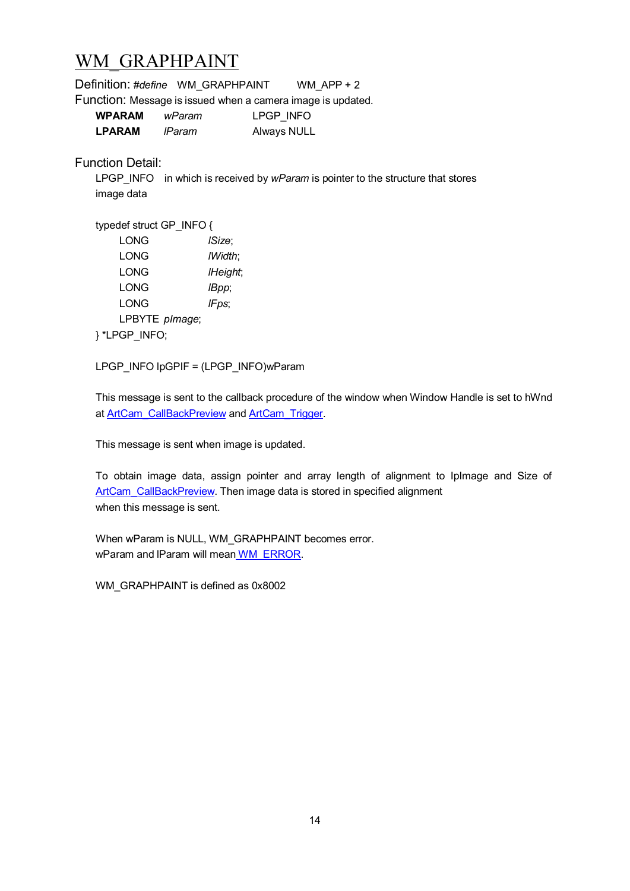### <span id="page-13-0"></span>WM\_GRAPHPAINT

| Definition: #define WM_GRAPHPAINT WM_APP + 2                |                |                    |                                                                                         |
|-------------------------------------------------------------|----------------|--------------------|-----------------------------------------------------------------------------------------|
| Function: Message is issued when a camera image is updated. |                |                    |                                                                                         |
| <b>WPARAM</b>                                               | wParam         | LPGP INFO          |                                                                                         |
| LPARAM                                                      | IParam         | <b>Always NULL</b> |                                                                                         |
| <b>Function Detail:</b><br>image data                       |                |                    | LPGP INFO in which is received by <i>wParam</i> is pointer to the structure that stores |
| typedef struct GP INFO {                                    |                |                    |                                                                                         |
| <b>LONG</b>                                                 | <i>ISize</i> ; |                    |                                                                                         |
| LONG                                                        | IWidth;        |                    |                                                                                         |
| LONG                                                        | IHeight;       |                    |                                                                                         |
| <b>LONG</b>                                                 | IBpp;          |                    |                                                                                         |
| <b>LONG</b>                                                 | IFps;          |                    |                                                                                         |
| LPBYTE plmage;                                              |                |                    |                                                                                         |

} \*LPGP\_INFO;

LPGP\_INFO lpGPIF = (LPGP\_INFO)wParam

This message is sent to the callback procedure of the window when Window Handle is set to hWnd at [ArtCam\\_CallBackPreview](#page-8-2) and [ArtCam\\_Trigger](#page-11-2).

This message is sent when image is updated.

To obtain image data, assign pointer and array length of alignment to IpImage and Size of [ArtCam\\_CallBackPreview](#page-8-2). Then image data is stored in specified alignment when this message is sent.

When wParam is NULL, WM\_GRAPHPAINT becomes error. wParam and IParam will mean [WM\\_ERROR](#page-14-0).

WM\_GRAPHPAINT is defined as 0x8002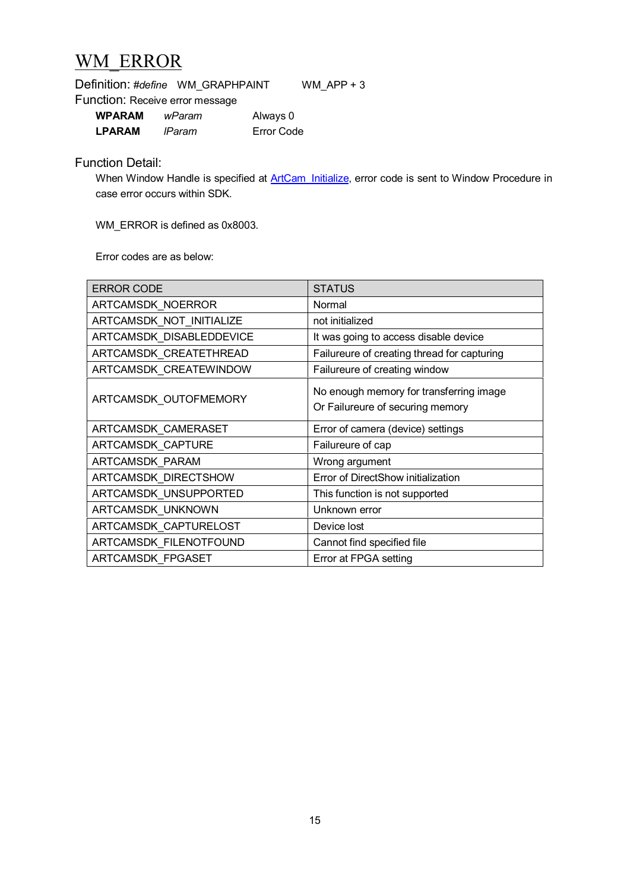### <span id="page-14-0"></span>WM\_ERROR

|                                 | Definition: #define WM GRAPHPAINT | WM APP $+3$ |
|---------------------------------|-----------------------------------|-------------|
| Function: Receive error message |                                   |             |

| <b>WPARAM</b> | wParam | Always 0   |
|---------------|--------|------------|
| <b>LPARAM</b> | IParam | Error Code |

#### Function Detail:

When Window Handle is specified at [ArtCam\\_Initialize](#page-7-0), error code is sent to Window Procedure in case error occurs within SDK.

WM\_ERROR is defined as 0x8003.

Error codes are as below:

| <b>ERROR CODE</b>        | <b>STATUS</b>                                                               |
|--------------------------|-----------------------------------------------------------------------------|
| ARTCAMSDK_NOERROR        | Normal                                                                      |
| ARTCAMSDK_NOT_INITIALIZE | not initialized                                                             |
| ARTCAMSDK DISABLEDDEVICE | It was going to access disable device                                       |
| ARTCAMSDK_CREATETHREAD   | Failureure of creating thread for capturing                                 |
| ARTCAMSDK_CREATEWINDOW   | Failureure of creating window                                               |
| ARTCAMSDK_OUTOFMEMORY    | No enough memory for transferring image<br>Or Failureure of securing memory |
| ARTCAMSDK_CAMERASET      | Error of camera (device) settings                                           |
| ARTCAMSDK_CAPTURE        | Failureure of cap                                                           |
| ARTCAMSDK_PARAM          | Wrong argument                                                              |
| ARTCAMSDK_DIRECTSHOW     | Error of DirectShow initialization                                          |
| ARTCAMSDK_UNSUPPORTED    | This function is not supported                                              |
| ARTCAMSDK_UNKNOWN        | Unknown error                                                               |
| ARTCAMSDK_CAPTURELOST    | Device lost                                                                 |
| ARTCAMSDK_FILENOTFOUND   | Cannot find specified file                                                  |
| <b>ARTCAMSDK FPGASET</b> | Error at FPGA setting                                                       |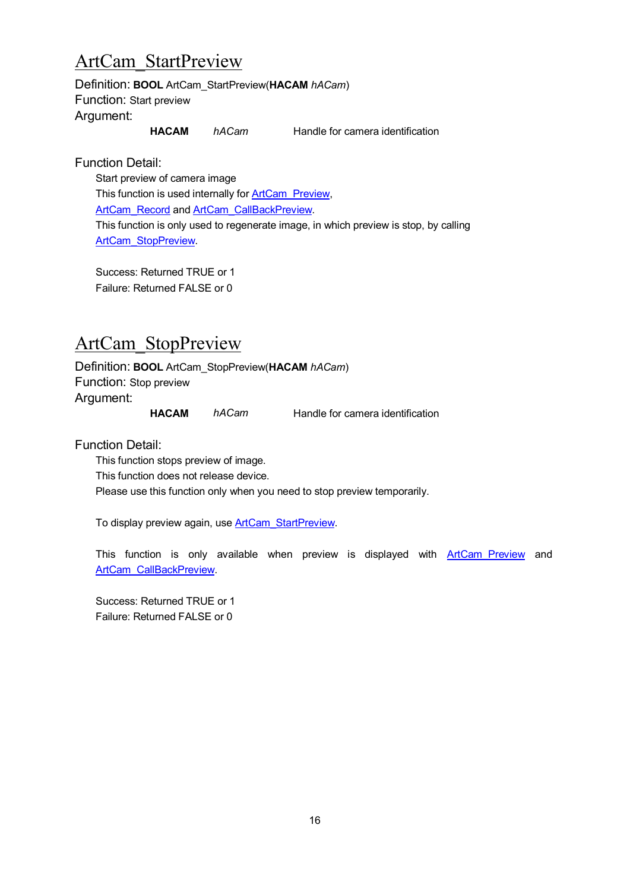### <span id="page-15-1"></span>ArtCam\_StartPreview

Definition: **BOOL** ArtCam\_StartPreview(**HACAM** *hACam*) Function: Start preview Argument:

**HACAM** *hACam* Handle for camera identification

Function Detail:

Start preview of camera image This function is used internally for [ArtCam\\_Preview,](#page-8-0) [ArtCam\\_Record](#page-8-1) and [ArtCam\\_CallBackPreview.](#page-9-0) This function is only used to regenerate image, in which preview is stop, by calling [ArtCam\\_StopPreview.](#page-15-0)

Success: Returned TRUE or 1 Failure: Returned FALSE or 0

### <span id="page-15-0"></span>ArtCam\_StopPreview

Definition: **BOOL** ArtCam\_StopPreview(**HACAM** *hACam*) Function: Stop preview Argument:

**HACAM** *hACam* Handle for camera identification

Function Detail:

This function stops preview of image. This function does not release device. Please use this function only when you need to stop preview temporarily.

To display preview again, use **[ArtCam\\_StartPreview](#page-15-1).** 

This function is only available when preview is displayed with **ArtCam Preview** and [ArtCam\\_CallBackPreview](#page-9-0).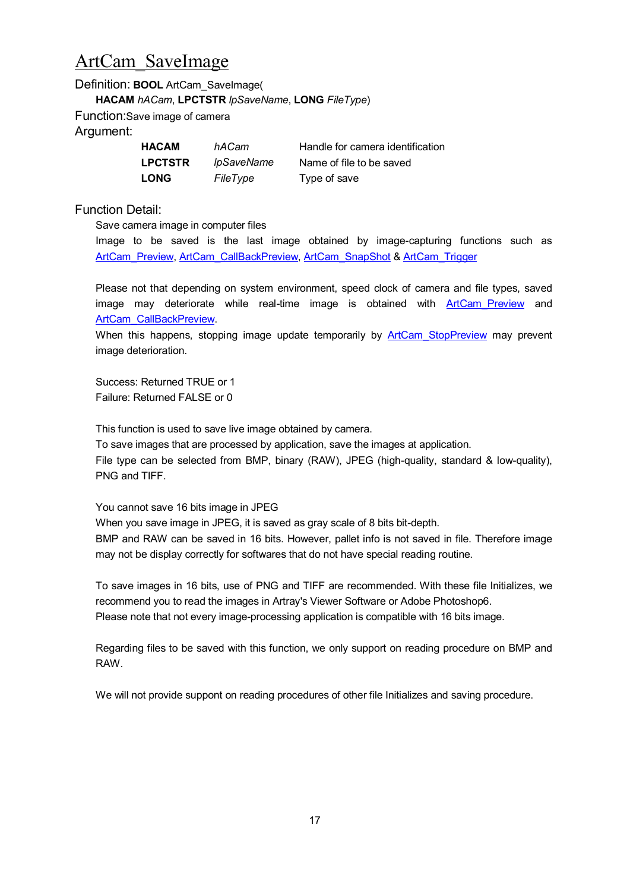### ArtCam\_SaveImage

Definition: **BOOL** ArtCam\_SaveImage( **HACAM** *hACam*, **LPCTSTR** *lpSaveName*, **LONG** *FileType*) Function:Save image of camera

Argument:

| <b>HACAM</b>   | hACam                 |
|----------------|-----------------------|
| <b>LPCTSTR</b> | <i><b>IpSaveN</b></i> |
| <b>LONG</b>    | FileType              |

**Handle for camera identification** lame **Name of file to be saved Type of save** 

Function Detail:

Save camera image in computer files

Image to be saved is the last image obtained by image-capturing functions such as [ArtCam\\_Preview](#page-8-0), [ArtCam\\_CallBackPreview](#page-8-2), [ArtCam\\_SnapShot](#page-10-0) & [ArtCam\\_Trigger](#page-12-0)

Please not that depending on system environment, speed clock of camera and file types, saved image may deteriorate while real-time image is obtained with ArtCam Preview and [ArtCam\\_CallBackPreview](#page-8-2).

When this happens, stopping image update temporarily by ArtCam StopPreview may prevent image deterioration.

Success: Returned TRUE or 1 Failure: Returned FALSE or 0

This function is used to save live image obtained by camera.

To save images that are processed by application, save the images at application. File type can be selected from BMP, binary (RAW), JPEG (high-quality, standard & low-quality), PNG and TIFF.

You cannot save 16 bits image in JPEG

When you save image in JPEG, it is saved as gray scale of 8 bits bit-depth.

BMP and RAW can be saved in 16 bits. However, pallet info is not saved in file. Therefore image may not be display correctly for softwares that do not have special reading routine.

To save images in 16 bits, use of PNG and TIFF are recommended. With these file Initializes, we recommend you to read the images in Artray's Viewer Software or Adobe Photoshop6. Please note that not every image-processing application is compatible with 16 bits image.

Regarding files to be saved with this function, we only support on reading procedure on BMP and RAW.

We will not provide suppont on reading procedures of other file Initializes and saving procedure.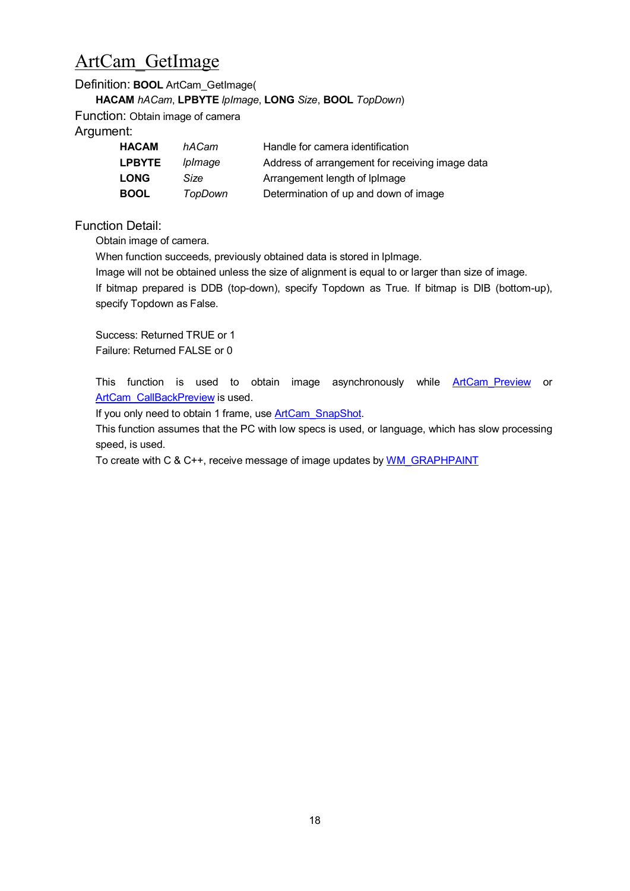### <span id="page-17-0"></span>ArtCam\_GetImage

#### Definition: **BOOL** ArtCam\_GetImage(

**HACAM** *hACam*, **LPBYTE** *lpImage*, **LONG** *Size*, **BOOL** *TopDown*)

Function: Obtain image of camera

Argument:

| <b>HACAM</b>  | hACam          | Handle for camera identification                |
|---------------|----------------|-------------------------------------------------|
| <b>LPBYTE</b> | <i>lplmage</i> | Address of arrangement for receiving image data |
| <b>LONG</b>   | Size           | Arrangement length of Iplmage                   |
| <b>BOOL</b>   | TopDown        | Determination of up and down of image           |

Function Detail:

Obtain image of camera.

When function succeeds, previously obtained data is stored in IpImage.

Image will not be obtained unless the size of alignment is equal to or larger than size of image.

If bitmap prepared is DDB (top-down), specify Topdown as True. If bitmap is DIB (bottom-up), specify Topdown as False.

Success: Returned TRUE or 1 Failure: Returned FALSE or 0

This function is used to obtain image asynchronously while [ArtCam\\_Preview](#page-8-0) or [ArtCam\\_CallBackPreview](#page-8-2) is used.

If you only need to obtain 1 frame, use **ArtCam** SnapShot.

This function assumes that the PC with low specs is used, or language, which has slow processing speed, is used.

To create with C & C++, receive message of image updates by [WM\\_GRAPHPAINT](#page-13-0)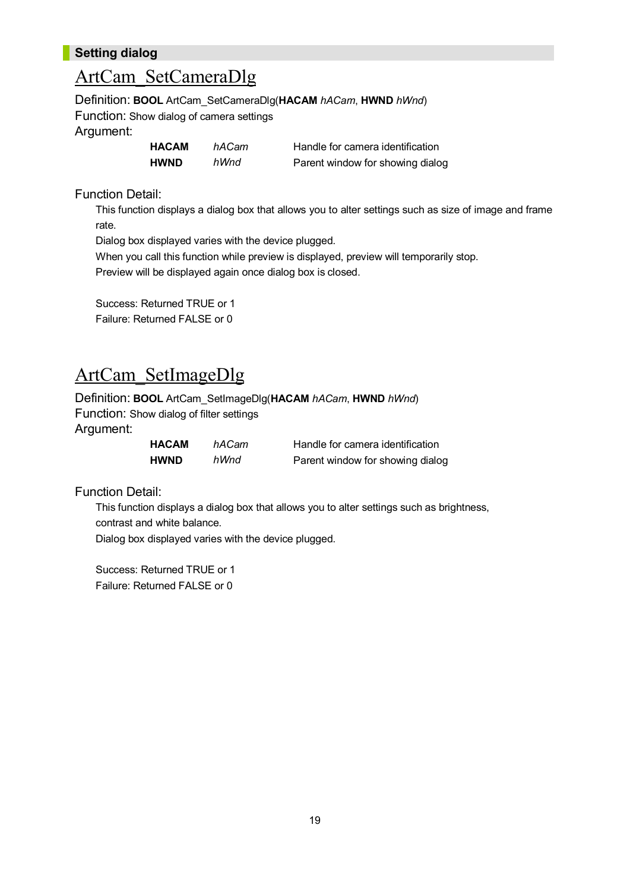#### **Setting dialog**

#### ArtCam\_SetCameraDlg

Definition: **BOOL** ArtCam\_SetCameraDlg(**HACAM** *hACam*, **HWND** *hWnd*) Function: Show dialog of camera settings Argument:

| HACAM | hACam | Handle for camera identification |
|-------|-------|----------------------------------|
| HWND  | hWnd  | Parent window for showing dialog |

Function Detail:

This function displays a dialog box that allows you to alter settings such as size of image and frame rate.

Dialog box displayed varies with the device plugged.

When you call this function while preview is displayed, preview will temporarily stop. Preview will be displayed again once dialog box is closed.

Success: Returned TRUE or 1 Failure: Returned FALSE or 0

### <span id="page-18-0"></span>ArtCam\_SetImageDlg

Definition: **BOOL** ArtCam\_SetImageDlg(**HACAM** *hACam*, **HWND** *hWnd*) Function: Show dialog of filter settings Argument:

| HACAM | hACam | Handle for camera identification |
|-------|-------|----------------------------------|
| HWND  | hWnd  | Parent window for showing dialog |

Function Detail:

This function displays a dialog box that allows you to alter settings such as brightness, contrast and white balance.

Dialog box displayed varies with the device plugged.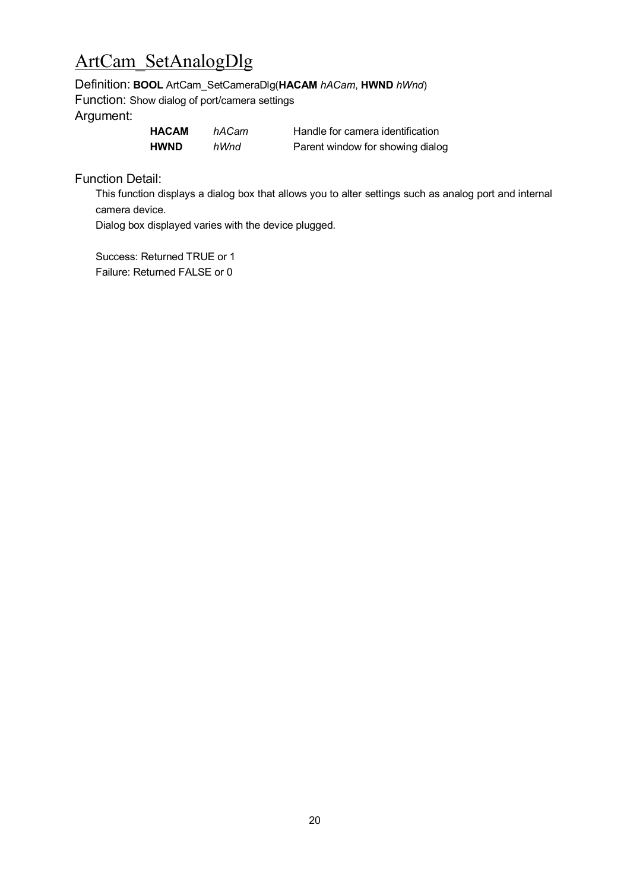## <span id="page-19-0"></span>ArtCam\_SetAnalogDlg

Definition: **BOOL** ArtCam\_SetCameraDlg(**HACAM** *hACam*, **HWND** *hWnd*)

Function: Show dialog of port/camera settings Argument:

| <b>HACAM</b> | hACam | Handle for camera identification |
|--------------|-------|----------------------------------|
| <b>HWND</b>  | hWnd  | Parent window for showing dialog |

Function Detail:

This function displays a dialog box that allows you to alter settings such as analog port and internal camera device.

Dialog box displayed varies with the device plugged.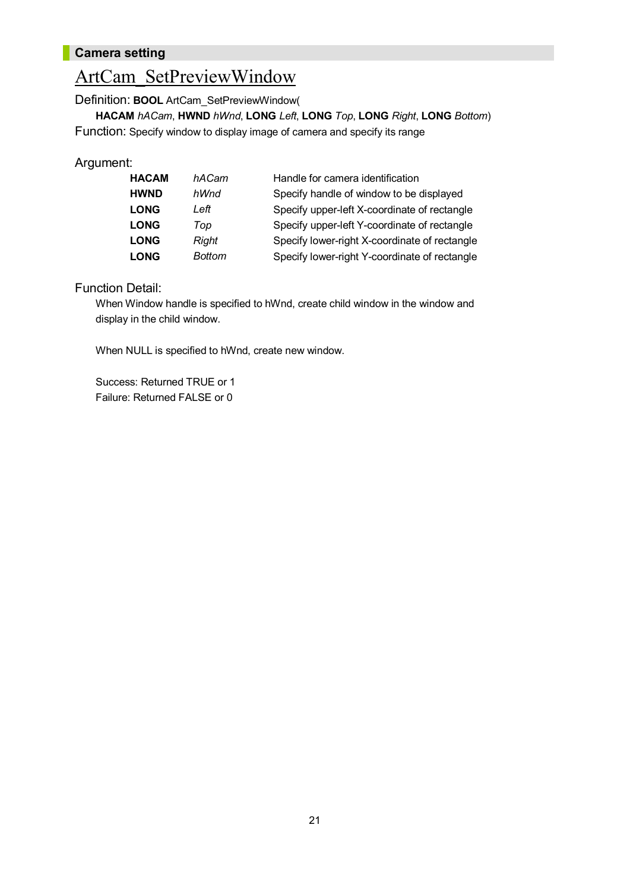#### **Camera setting**

### <span id="page-20-0"></span>ArtCam\_SetPreviewWindow

Definition: **BOOL** ArtCam\_SetPreviewWindow(

**HACAM** *hACam*, **HWND** *hWnd*, **LONG** *Left*, **LONG** *Top*, **LONG** *Right*, **LONG** *Bottom*) Function: Specify window to display image of camera and specify its range

#### Argument:

| <b>HACAM</b> | hACam         | Handle for camera identification              |
|--------------|---------------|-----------------------------------------------|
| <b>HWND</b>  | hWnd          | Specify handle of window to be displayed      |
| <b>LONG</b>  | Left          | Specify upper-left X-coordinate of rectangle  |
| <b>LONG</b>  | Top           | Specify upper-left Y-coordinate of rectangle  |
| <b>LONG</b>  | Right         | Specify lower-right X-coordinate of rectangle |
| <b>LONG</b>  | <b>Bottom</b> | Specify lower-right Y-coordinate of rectangle |

#### Function Detail:

When Window handle is specified to hWnd, create child window in the window and display in the child window.

When NULL is specified to hWnd, create new window.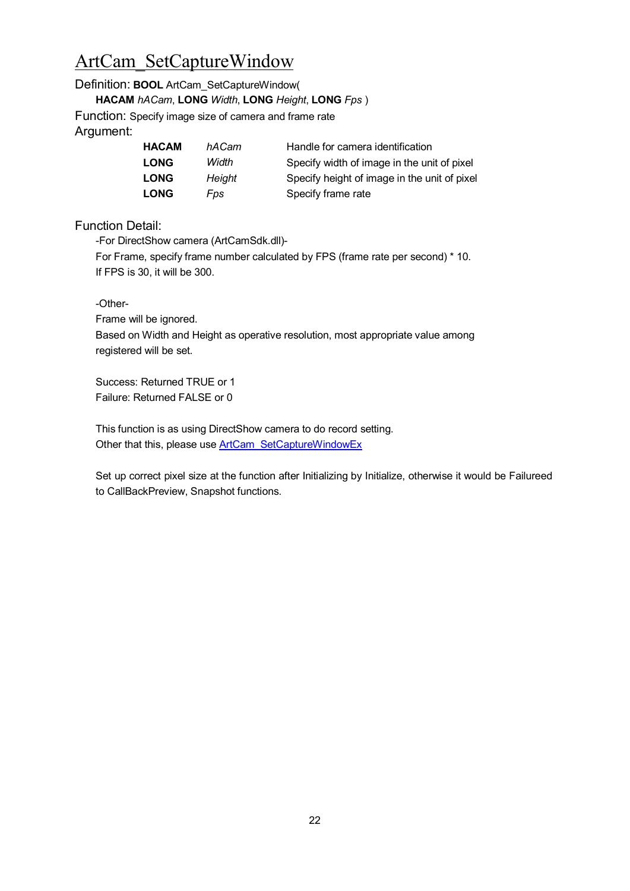# <span id="page-21-0"></span>ArtCam\_SetCaptureWindow

Definition: **BOOL** ArtCam\_SetCaptureWindow(

**HACAM** *hACam*, **LONG** *Width*, **LONG** *Height*, **LONG** *Fps* )

Function: Specify image size of camera and frame rate Argument:

| <b>HACAM</b> | hACam  | Handle for camera identification             |
|--------------|--------|----------------------------------------------|
| <b>LONG</b>  | Width  | Specify width of image in the unit of pixel  |
| <b>LONG</b>  | Height | Specify height of image in the unit of pixel |
| <b>LONG</b>  | Fps    | Specify frame rate                           |

Function Detail:

-For DirectShow camera (ArtCamSdk.dll)-

For Frame, specify frame number calculated by FPS (frame rate per second) \* 10. If FPS is 30, it will be 300.

-Other-

Frame will be ignored.

Based on Width and Height as operative resolution, most appropriate value among registered will be set.

Success: Returned TRUE or 1 Failure: Returned FALSE or 0

This function is as using DirectShow camera to do record setting. Other that this, please use [ArtCam\\_SetCaptureWindowEx](#page-22-0)

Set up correct pixel size at the function after Initializing by Initialize, otherwise it would be Failureed to CallBackPreview, Snapshot functions.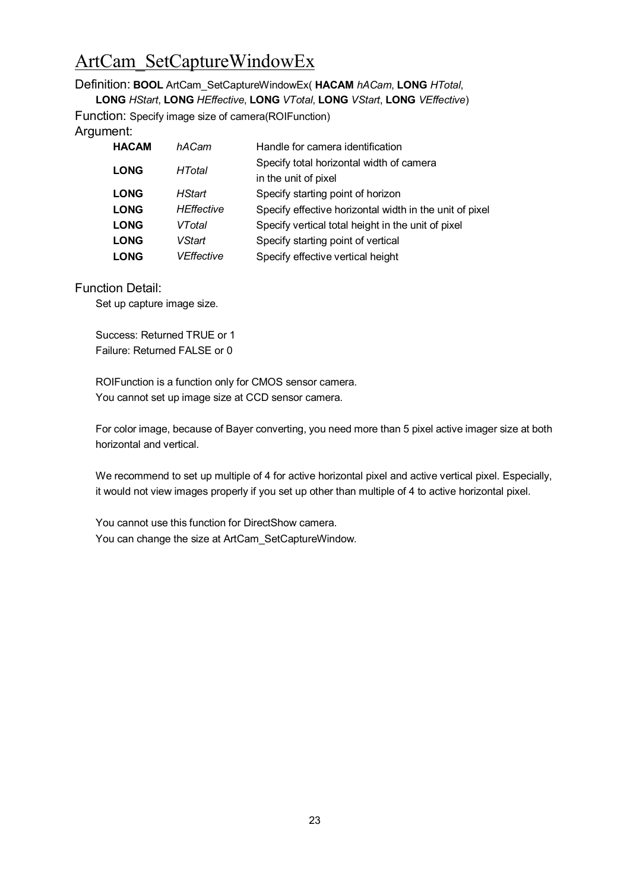# <span id="page-22-0"></span>ArtCam\_SetCaptureWindowEx

Definition: **BOOL** ArtCam\_SetCaptureWindowEx( **HACAM** *hACam*, **LONG** *HTotal*,

**LONG** *HStart*, **LONG** *HEffective*, **LONG** *VTotal*, **LONG** *VStart*, **LONG** *VEffective*)

Function: Specify image size of camera(ROIFunction) Argument:

| <b>HACAM</b> | hACam             | Handle for camera identification                        |
|--------------|-------------------|---------------------------------------------------------|
| <b>LONG</b>  | HTotal            | Specify total horizontal width of camera                |
|              |                   | in the unit of pixel                                    |
| <b>LONG</b>  | <b>HStart</b>     | Specify starting point of horizon                       |
| <b>LONG</b>  | <b>HEffective</b> | Specify effective horizontal width in the unit of pixel |
| <b>LONG</b>  | VTotal            | Specify vertical total height in the unit of pixel      |
| <b>LONG</b>  | VStart            | Specify starting point of vertical                      |
| <b>LONG</b>  | VEffective        | Specify effective vertical height                       |

#### Function Detail:

Set up capture image size.

Success: Returned TRUE or 1 Failure: Returned FALSE or 0

ROIFunction is a function only for CMOS sensor camera. You cannot set up image size at CCD sensor camera.

For color image, because of Bayer converting, you need more than 5 pixel active imager size at both horizontal and vertical.

We recommend to set up multiple of 4 for active horizontal pixel and active vertical pixel. Especially, it would not view images properly if you set up other than multiple of 4 to active horizontal pixel.

You cannot use this function for DirectShow camera. You can change the size at ArtCam\_SetCaptureWindow.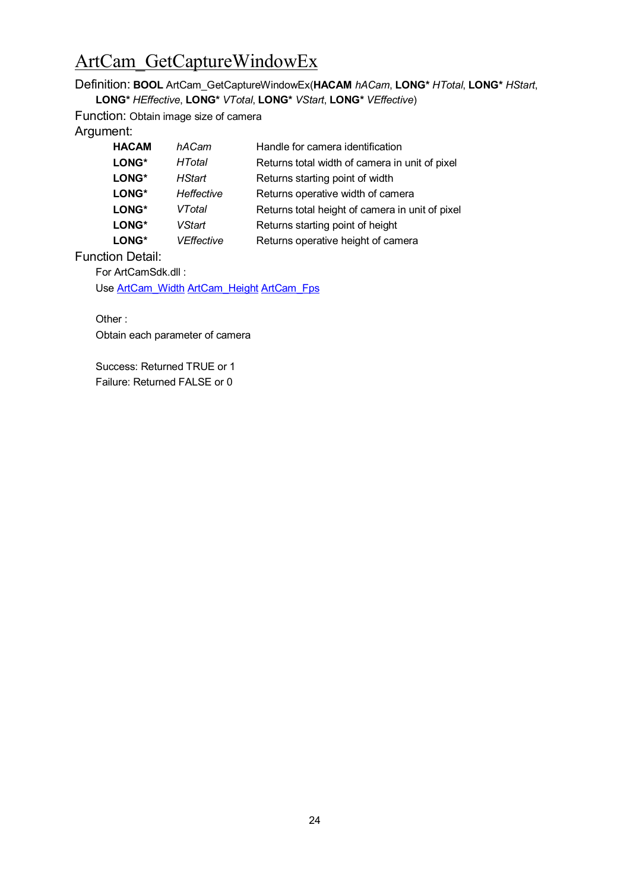### ArtCam\_GetCaptureWindowEx

Definition: **BOOL** ArtCam\_GetCaptureWindowEx(**HACAM** *hACam*, **LONG\*** *HTotal*, **LONG\*** *HStart*, **LONG\*** *HEffective*, **LONG\*** *VTotal*, **LONG\*** *VStart*, **LONG\*** *VEffective*)

Function: Obtain image size of camera Argument:

| <b>HACAM</b> | hACam             | Handle for camera identification                |
|--------------|-------------------|-------------------------------------------------|
| LONG*        | <b>HTotal</b>     | Returns total width of camera in unit of pixel  |
| LONG*        | <b>HStart</b>     | Returns starting point of width                 |
| LONG*        | Heffective        | Returns operative width of camera               |
| LONG*        | VTotal            | Returns total height of camera in unit of pixel |
| LONG*        | <b>VStart</b>     | Returns starting point of height                |
| LONG*        | <b>VEffective</b> | Returns operative height of camera              |

Function Detail:

For ArtCamSdk.dll :

Use **[ArtCam\\_Width](#page-29-0) [ArtCam\\_Height](#page-29-1) [ArtCam\\_Fps](#page-30-0)** 

Other : Obtain each parameter of camera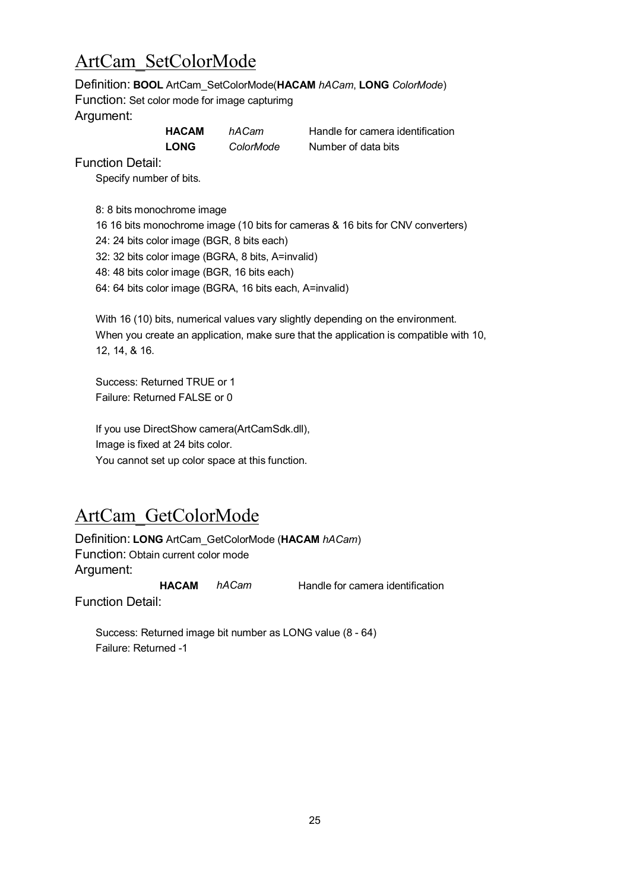# ArtCam\_SetColorMode

Definition: **BOOL** ArtCam\_SetColorMode(**HACAM** *hACam*, **LONG** *ColorMode*)

Function: Set color mode for image capturimg Argument:

| <b>HACAM</b> | hACam                    |
|--------------|--------------------------|
| הווה ו       | $\bigcap_{n=1}^{\infty}$ |

**Handle for camera identification LONG** *ColorMode* Number of data bits

Function Detail:

Specify number of bits.

8: 8 bits monochrome image 16 16 bits monochrome image (10 bits for cameras & 16 bits for CNV converters) 24: 24 bits color image (BGR, 8 bits each) 32: 32 bits color image (BGRA, 8 bits, A=invalid) 48: 48 bits color image (BGR, 16 bits each) 64: 64 bits color image (BGRA, 16 bits each, A=invalid)

With 16 (10) bits, numerical values vary slightly depending on the environment. When you create an application, make sure that the application is compatible with 10, 12, 14, & 16.

Success: Returned TRUE or 1 Failure: Returned FALSE or 0

If you use DirectShow camera(ArtCamSdk.dll), Image is fixed at 24 bits color. You cannot set up color space at this function.

# ArtCam\_GetColorMode

Definition: **LONG** ArtCam\_GetColorMode (**HACAM** *hACam*) Function: Obtain current color mode Argument:

**HACAM** *hACam* Handle for camera identification

Function Detail:

Success: Returned image bit number as LONG value (8 - 64) Failure: Returned -1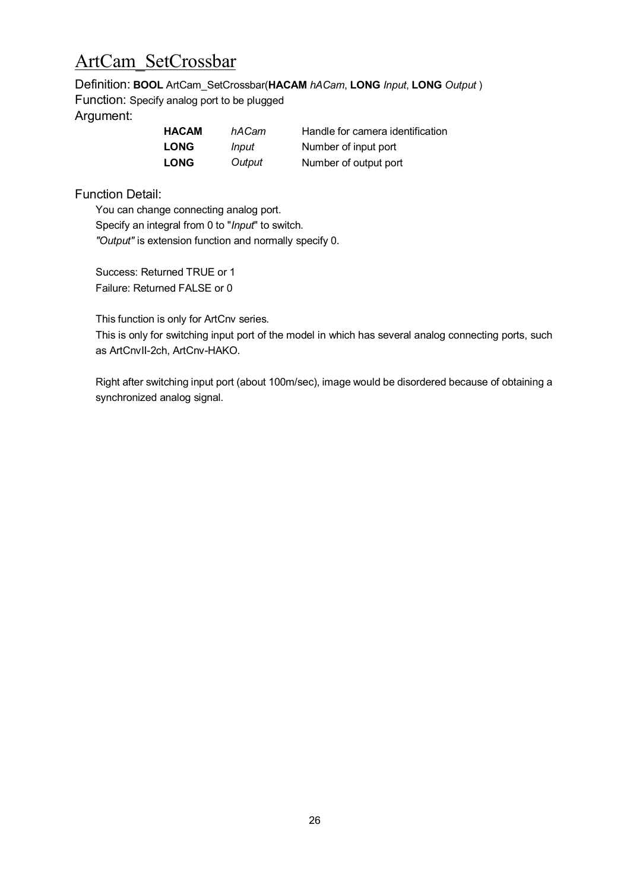### ArtCam\_SetCrossbar

Definition: **BOOL** ArtCam\_SetCrossbar(**HACAM** *hACam*, **LONG** *Input*, **LONG** *Output* ) Function: Specify analog port to be plugged Argument:

| HACAM       | hACam  | Handle for camera identification |
|-------------|--------|----------------------------------|
| <b>LONG</b> | Input  | Number of input port             |
| <b>LONG</b> | Output | Number of output port            |

Function Detail:

You can change connecting analog port. Specify an integral from 0 to "*Input*" to switch. *"Output"* is extension function and normally specify 0.

Success: Returned TRUE or 1 Failure: Returned FALSE or 0

This function is only for ArtCnv series.

This is only for switching input port of the model in which has several analog connecting ports, such as ArtCnvII-2ch, ArtCnv-HAKO.

Right after switching input port (about 100m/sec), image would be disordered because of obtaining a synchronized analog signal.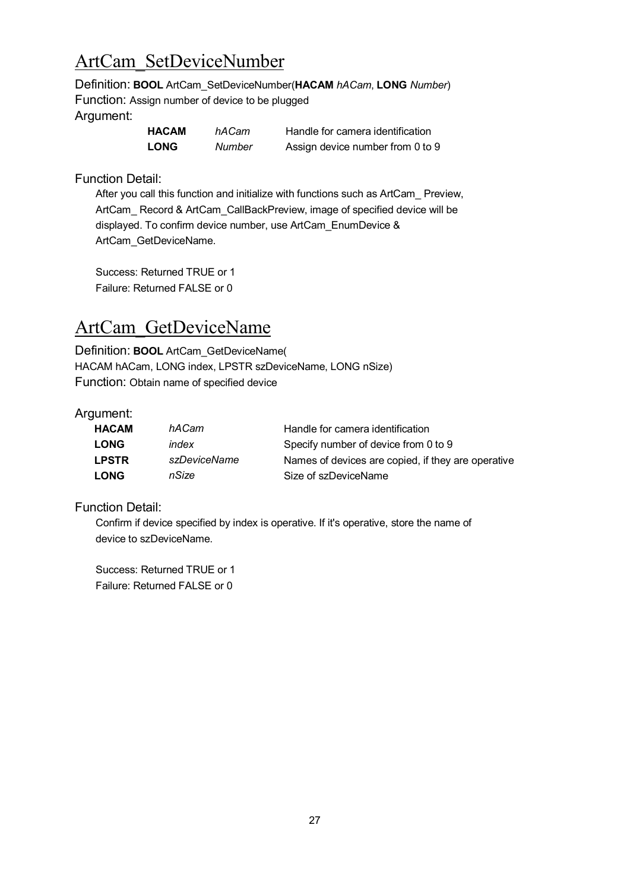# <span id="page-26-0"></span>ArtCam\_SetDeviceNumber

Definition: **BOOL** ArtCam\_SetDeviceNumber(**HACAM** *hACam*, **LONG** *Number*) Function: Assign number of device to be plugged Argument:

| <b>HACAM</b> | hACam  | Handle for camera identification |
|--------------|--------|----------------------------------|
| <b>LONG</b>  | Number | Assign device number from 0 to 9 |

Function Detail:

After you call this function and initialize with functions such as ArtCam\_ Preview, ArtCam\_ Record & ArtCam\_CallBackPreview, image of specified device will be displayed. To confirm device number, use ArtCam\_EnumDevice & ArtCam\_GetDeviceName.

Success: Returned TRUE or 1 Failure: Returned FALSE or 0

### ArtCam\_GetDeviceName

Definition: **BOOL** ArtCam\_GetDeviceName( HACAM hACam, LONG index, LPSTR szDeviceName, LONG nSize) Function: Obtain name of specified device

#### Argument:

| <b>HACAM</b> | hACam        | Handle for camera identification                   |
|--------------|--------------|----------------------------------------------------|
| <b>LONG</b>  | index        | Specify number of device from 0 to 9               |
| <b>LPSTR</b> | szDeviceName | Names of devices are copied, if they are operative |
| <b>LONG</b>  | nSize        | Size of szDeviceName                               |

Function Detail:

Confirm if device specified by index is operative. If it's operative, store the name of device to szDeviceName.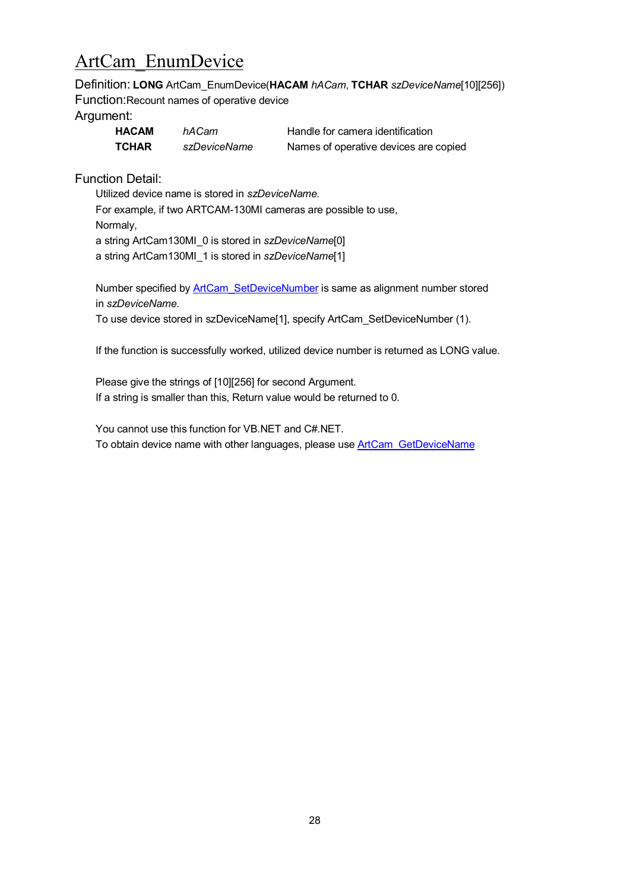# ArtCam\_EnumDevice

Definition: **LONG** ArtCam\_EnumDevice(**HACAM** *hACam*, **TCHAR** *szDeviceName*[10][256]) Function:Recount names of operative device

#### Argument:

| <b>HACAM</b> | hACam        | Handle for camera identification      |
|--------------|--------------|---------------------------------------|
| <b>TCHAR</b> | szDeviceName | Names of operative devices are copied |

Function Detail:

Utilized device name is stored in *szDeviceName.* For example, if two ARTCAM-130MI cameras are possible to use, Normaly, a string ArtCam130MI\_0 is stored in *szDeviceName*[0] a string ArtCam130MI\_1 is stored in *szDeviceName*[1]

Number specified by **ArtCam** SetDeviceNumber is same as alignment number stored in *szDeviceName*.

To use device stored in szDeviceName[1], specify ArtCam\_SetDeviceNumber (1).

If the function is successfully worked, utilized device number is returned as LONG value.

Please give the strings of [10][256] for second Argument. If a string is smaller than this, Return value would be returned to 0.

<span id="page-27-0"></span>You cannot use this function for VB.NET and C#.NET. To obtain device name with other languages, please use [ArtCam\\_GetDeviceName](#page-27-0)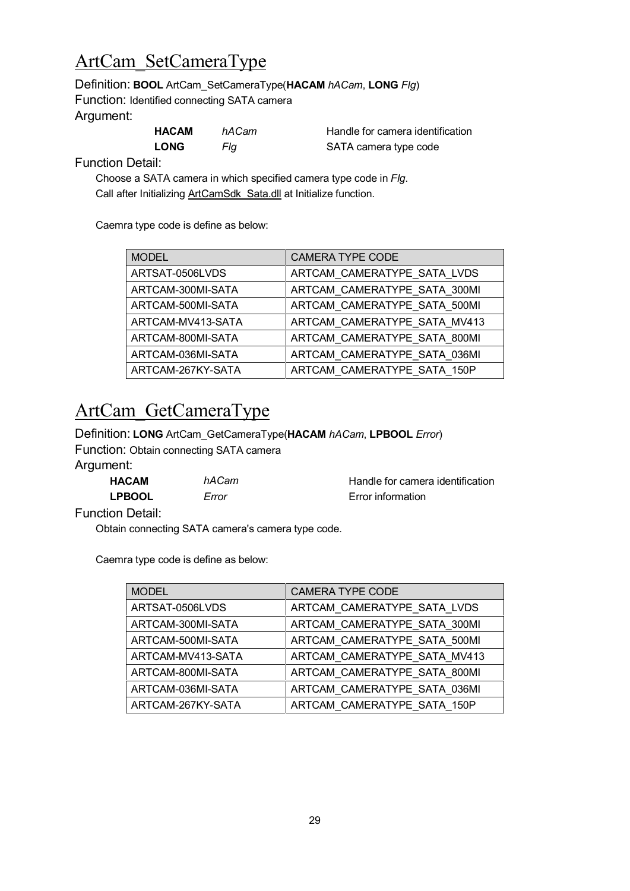### ArtCam\_SetCameraType

#### Definition: **BOOL** ArtCam\_SetCameraType(**HACAM** *hACam*, **LONG** *Flg*)

Function: Identified connecting SATA camera Argument:

| HACAM       | hACam | Handle for camera identification |
|-------------|-------|----------------------------------|
| <b>LONG</b> | Fla   | SATA camera type code            |

Function Detail:

Choose a SATA camera in which specified camera type code in *Flg*. Call after Initializing ArtCamSdk\_Sata.dll at Initialize function.

Caemra type code is define as below:

| <b>MODEL</b>      | <b>CAMERA TYPE CODE</b>      |
|-------------------|------------------------------|
| ARTSAT-0506LVDS   | ARTCAM CAMERATYPE SATA LVDS  |
| ARTCAM-300MI-SATA | ARTCAM CAMERATYPE SATA 300MI |
| ARTCAM-500MI-SATA | ARTCAM CAMERATYPE SATA 500MI |
| ARTCAM-MV413-SATA | ARTCAM CAMERATYPE SATA MV413 |
| ARTCAM-800MI-SATA | ARTCAM_CAMERATYPE_SATA_800MI |
| ARTCAM-036MI-SATA | ARTCAM CAMERATYPE SATA 036MI |
| ARTCAM-267KY-SATA | ARTCAM CAMERATYPE SATA 150P  |

## ArtCam\_GetCameraType

Definition: **LONG** ArtCam\_GetCameraType(**HACAM** *hACam*, **LPBOOL** *Error*) Function: Obtain connecting SATA camera Argument:

| <b>HACAM</b>  | hACam | Handle for camera identification |
|---------------|-------|----------------------------------|
| <b>LPBOOL</b> | Error | Error information                |

Function Detail:

Obtain connecting SATA camera's camera type code.

Caemra type code is define as below:

| <b>MODEL</b>      | <b>CAMERA TYPE CODE</b>      |
|-------------------|------------------------------|
| ARTSAT-0506LVDS   | ARTCAM_CAMERATYPE_SATA_LVDS  |
| ARTCAM-300MI-SATA | ARTCAM_CAMERATYPE_SATA_300MI |
| ARTCAM-500MI-SATA | ARTCAM_CAMERATYPE_SATA_500MI |
| ARTCAM-MV413-SATA | ARTCAM_CAMERATYPE_SATA_MV413 |
| ARTCAM-800MI-SATA | ARTCAM CAMERATYPE SATA 800MI |
| ARTCAM-036MI-SATA | ARTCAM_CAMERATYPE_SATA_036MI |
| ARTCAM-267KY-SATA | ARTCAM_CAMERATYPE_SATA_150P  |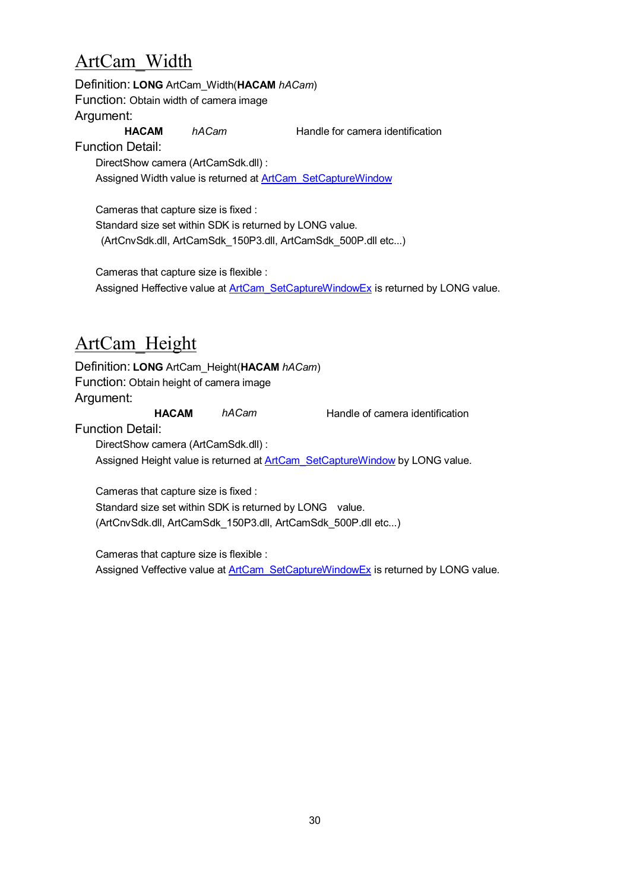# <span id="page-29-0"></span>ArtCam\_Width

Definition: **LONG** ArtCam\_Width(**HACAM** *hACam*) Function: Obtain width of camera image Argument: **HACAM** *hACam* Handle for camera identification

Function Detail:

DirectShow camera (ArtCamSdk.dll) : Assigned Width value is retu[rned at](#page-22-0) [ArtCam\\_SetCaptureWindow](#page-21-0)

Cameras that capture size is fixed : Standard size set within SDK is returned by LONG value. (ArtCnvSdk.dll, ArtCamSdk\_150P3.dll, ArtCamSdk\_500P.dll etc...)

Cameras that capture size is flexible : Assigned Heffective value at [ArtCam\\_SetCaptureWindowEx](#page-22-0) is returned by LONG value.

## <span id="page-29-1"></span>ArtCam\_Height

Definition: **LONG** ArtCam\_Height(**HACAM** *hACam*) Function: Obtain height of camera image Argument: **HACAM** *hACam* Handle of camera identification Function Detail:

DirectShow camera (ArtCamSdk.dll) :

Assigned Height value is returned at **ArtCam\_SetCaptureWindow** by LONG value.

Cameras that capture size is fixed : Standard size set within SDK is returned by LONG value. (ArtCnvSdk.dll, ArtCamSdk\_150P3.dll, ArtCamSdk\_500P.dll etc...)

Cameras that capture size is flexible : Assigned Veffective value at ArtCam\_SetCaptureWindowEx is returned by LONG value.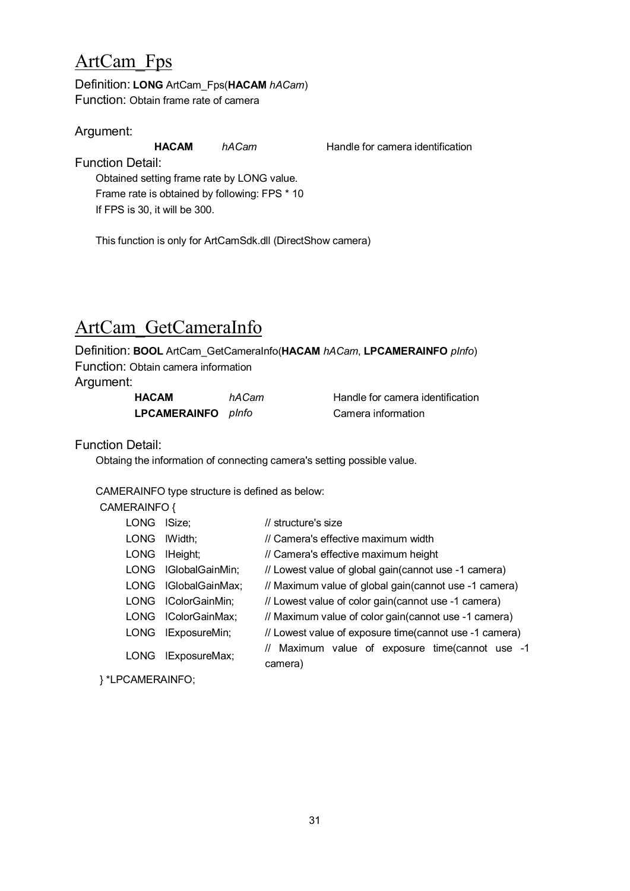### <span id="page-30-0"></span>ArtCam\_Fps

Definition: **LONG** ArtCam\_Fps(**HACAM** *hACam*) Function: Obtain frame rate of camera

Argument:

**HACAM** *hACam* Handle for camera identification

Function Detail:

Obtained setting frame rate by LONG value. Frame rate is obtained by following: FPS \* 10 If FPS is 30, it will be 300.

This function is only for ArtCamSdk.dll (DirectShow camera)

# ArtCam\_GetCameraInfo

Definition: **BOOL** ArtCam\_GetCameraInfo(**HACAM** *hACam*, **LPCAMERAINFO** *pInfo*) Function: Obtain camera information

Argument:

| <b>HACAM</b>        | hACam |
|---------------------|-------|
| <b>LPCAMERAINFO</b> | plnfo |

**Handle for camera identification LPCAMERAINFO** *pInfo* Camera information

Function Detail:

Obtaing the information of connecting camera's setting possible value.

CAMERAINFO type structure is defined as below:

CAMERAINFO {

|  | LONG        | ISize:              | // structure's size                                        |
|--|-------------|---------------------|------------------------------------------------------------|
|  | <b>LONG</b> | IWidth:             | // Camera's effective maximum width                        |
|  | <b>LONG</b> | IHeight;            | // Camera's effective maximum height                       |
|  | LONG        | IGlobalGainMin;     | // Lowest value of global gain(cannot use -1 camera)       |
|  | LONG        | IGlobalGainMax;     | // Maximum value of global gain(cannot use -1 camera)      |
|  |             | LONG IColorGainMin: | // Lowest value of color gain (cannot use -1 camera)       |
|  |             | LONG IColorGainMax; | // Maximum value of color gain (cannot use -1 camera)      |
|  | LONG        | IExposureMin;       | // Lowest value of exposure time(cannot use -1 camera)     |
|  | <b>LONG</b> | IExposureMax;       | // Maximum value of exposure time(cannot use -1<br>camera) |
|  |             |                     |                                                            |

} \*LPCAMERAINFO;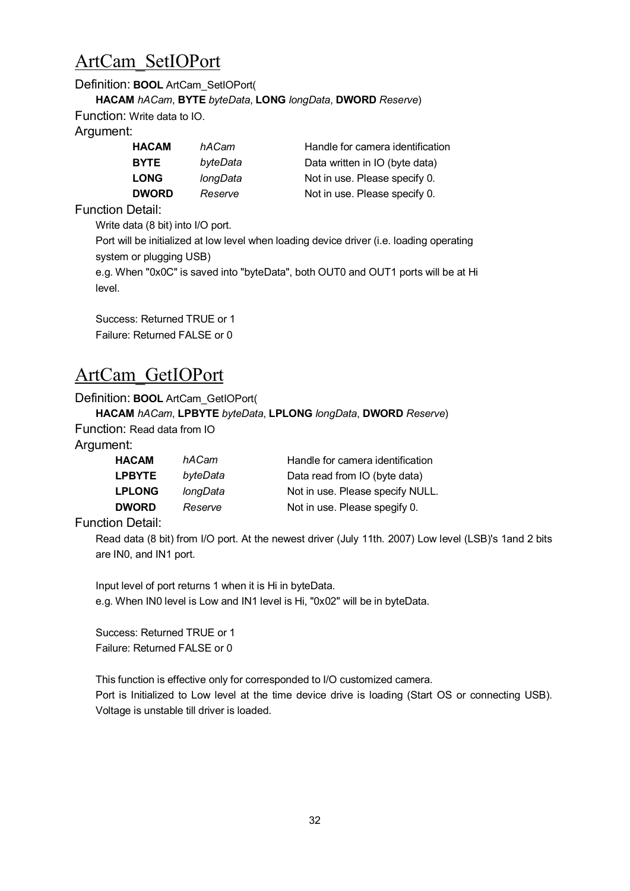### ArtCam\_SetIOPort

#### Definition: **BOOL** ArtCam\_SetIOPort(

**HACAM** *hACam*, **BYTE** *byteData*, **LONG** *longData*, **DWORD** *Reserve*)

Function: Write data to IO.

Argument:

| <b>HACAM</b> | hACam    | Handle for camera identification |
|--------------|----------|----------------------------------|
| <b>BYTE</b>  | byteData | Data written in IO (byte data)   |
| <b>LONG</b>  | longData | Not in use. Please specify 0.    |
| <b>DWORD</b> | Reserve  | Not in use. Please specify 0.    |

Function Detail:

Write data (8 bit) into I/O port.

Port will be initialized at low level when loading device driver (i.e. loading operating system or plugging USB)

```
e.g. When "0x0C" is saved into "byteData", both OUT0 and OUT1 ports will be at Hi
level.
```
Success: Returned TRUE or 1 Failure: Returned FALSE or 0

### ArtCam\_GetIOPort

#### Definition: **BOOL** ArtCam\_GetIOPort(

#### **HACAM** *hACam*, **LPBYTE** *byteData*, **LPLONG** *longData*, **DWORD** *Reserve*)

Function: Read data from IO

Argument:

| <b>HACAM</b>  | hACam    | Handle for camera identification |
|---------------|----------|----------------------------------|
| <b>LPBYTE</b> | byteData | Data read from IO (byte data)    |
| <b>LPLONG</b> | longData | Not in use. Please specify NULL. |
| <b>DWORD</b>  | Reserve  | Not in use. Please spegify 0.    |

Function Detail:

Read data (8 bit) from I/O port. At the newest driver (July 11th. 2007) Low level (LSB)'s 1and 2 bits are IN0, and IN1 port.

Input level of port returns 1 when it is Hi in byteData. e.g. When IN0 level is Low and IN1 level is Hi, "0x02" will be in byteData.

Success: Returned TRUE or 1 Failure: Returned FALSE or 0

This function is effective only for corresponded to I/O customized camera.

Port is Initialized to Low level at the time device drive is loading (Start OS or connecting USB). Voltage is unstable till driver is loaded.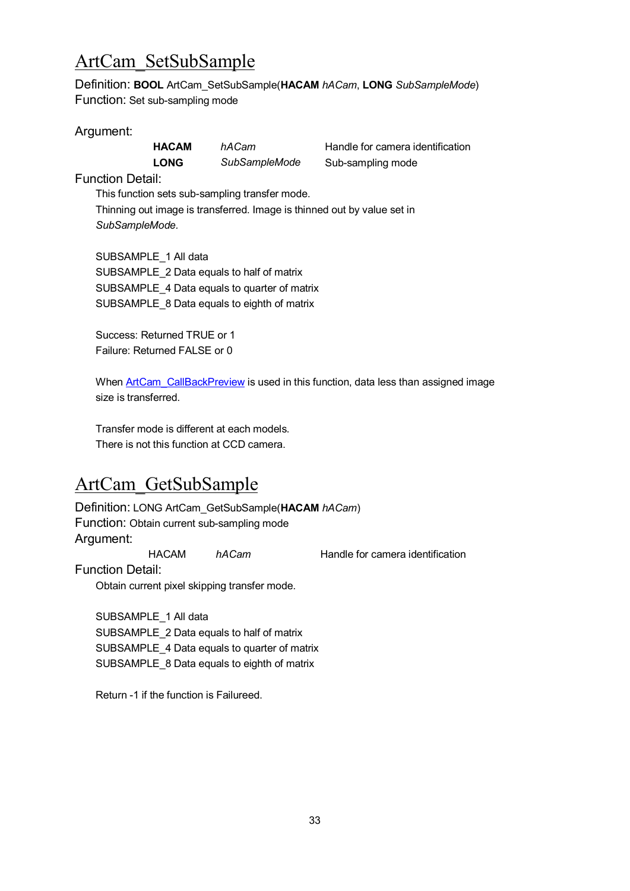### ArtCam\_SetSubSample

Definition: **BOOL** ArtCam\_SetSubSample(**HACAM** *hACam*, **LONG** *SubSampleMode*) Function: Set sub-sampling mode

#### Argument:

**LONG** *SubSampleMode* Sub-sampling mode

**HACAM** *hACam* Handle for camera identification

Function Detail:

This function sets sub-sampling transfer mode. Thinning out image is transferred. Image is thinned out by value set in *SubSampleMode.*

SUBSAMPLE\_1 All data SUBSAMPLE\_2 Data equals to half of matrix SUBSAMPLE\_4 Data equals to quarter of matrix SUBSAMPLE\_8 Data equals to eighth of matrix

Success: Returned TRUE or 1 Failure: Returned FALSE or 0

When **ArtCam** CallBackPreview is used in this function, data less than assigned image size is transferred.

Transfer mode is different at each models. There is not this function at CCD camera.

# ArtCam\_GetSubSample

Definition: LONG ArtCam\_GetSubSample(**HACAM** *hACam*) Function: Obtain current sub-sampling mode Argument:

HACAM *hACam* Handle for camera identification

Function Detail:

Obtain current pixel skipping transfer mode.

SUBSAMPLE\_1 All data SUBSAMPLE\_2 Data equals to half of matrix SUBSAMPLE\_4 Data equals to quarter of matrix SUBSAMPLE\_8 Data equals to eighth of matrix

Return -1 if the function is Failureed.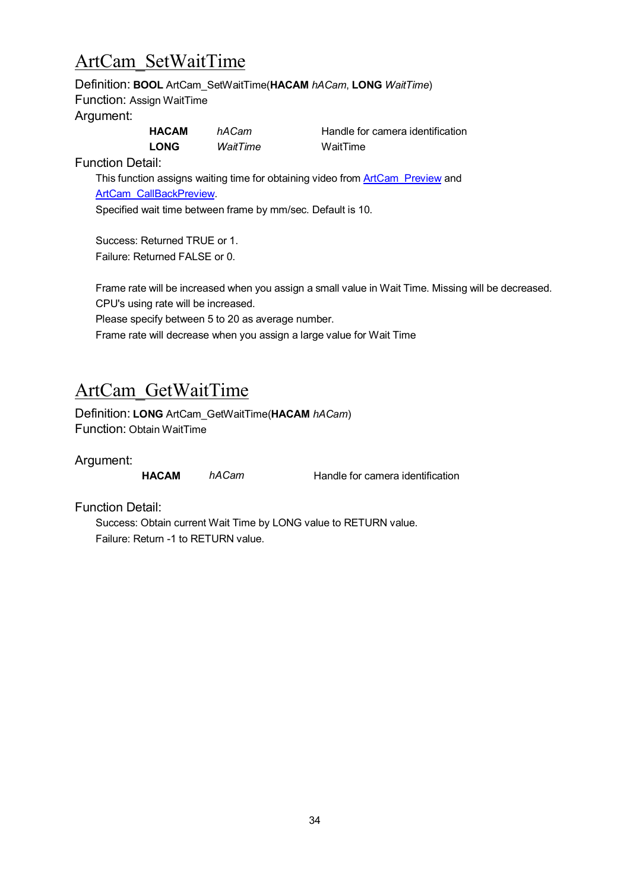### ArtCam\_SetWaitTime

#### Definition: **BOOL** ArtCam\_SetWaitTime(**HACAM** *hACam*, **LONG** *WaitTime*) Function: Assign WaitTime

#### Argument:

| <b>HACAM</b> | hACam    | Handle for |
|--------------|----------|------------|
| <b>LONG</b>  | WaitTime | WaitTime   |

**HACAM** *hACam* Handle for camera identification

Function Detail:

This function assigns waiting time for obtaining video from **[ArtCam\\_Preview](#page-8-0)** and [ArtCam\\_CallBackPreview](#page-8-2).

Specified wait time between frame by mm/sec. Default is 10.

Success: Returned TRUE or 1. Failure: Returned FALSE or 0.

Frame rate will be increased when you assign a small value in Wait Time. Missing will be decreased. CPU's using rate will be increased.

Please specify between 5 to 20 as average number.

Frame rate will decrease when you assign a large value for Wait Time

### ArtCam\_GetWaitTime

Definition: **LONG** ArtCam\_GetWaitTime(**HACAM** *hACam*) Function: Obtain WaitTime

Argument:

**HACAM** *hACam* Handle for camera identification

Function Detail:

Success: Obtain current Wait Time by LONG value to RETURN value. Failure: Return -1 to RETURN value.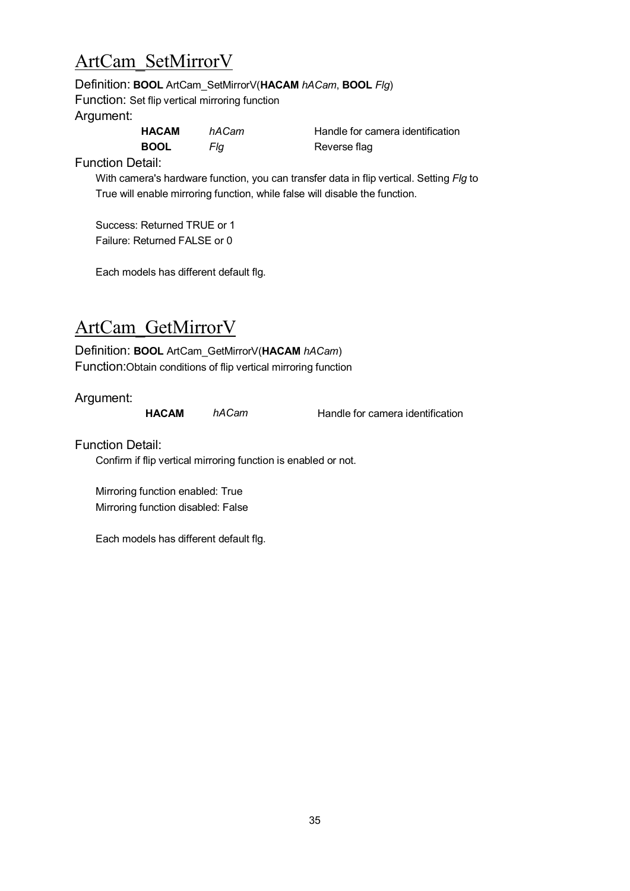### ArtCam\_SetMirrorV

Definition: **BOOL** ArtCam\_SetMirrorV(**HACAM** *hACam*, **BOOL** *Flg*)

Function: Set flip vertical mirroring function Argument:

| <b>HACAM</b> | hACam | Handle for ca |
|--------------|-------|---------------|
| <b>BOOL</b>  | Fla   | Reverse flag  |

**HACAM** *hACam* Handle for camera identification

Function Detail:

With camera's hardware function, you can transfer data in flip vertical. Setting *Flg* to True will enable mirroring function, while false will disable the function.

Success: Returned TRUE or 1 Failure: Returned FALSE or 0

Each models has different default flg.

# ArtCam\_GetMirrorV

Definition: **BOOL** ArtCam\_GetMirrorV(**HACAM** *hACam*) Function:Obtain conditions of flip vertical mirroring function

Argument:

**HACAM** *hACam* Handle for camera identification

Function Detail:

Confirm if flip vertical mirroring function is enabled or not.

Mirroring function enabled: True Mirroring function disabled: False

Each models has different default flg.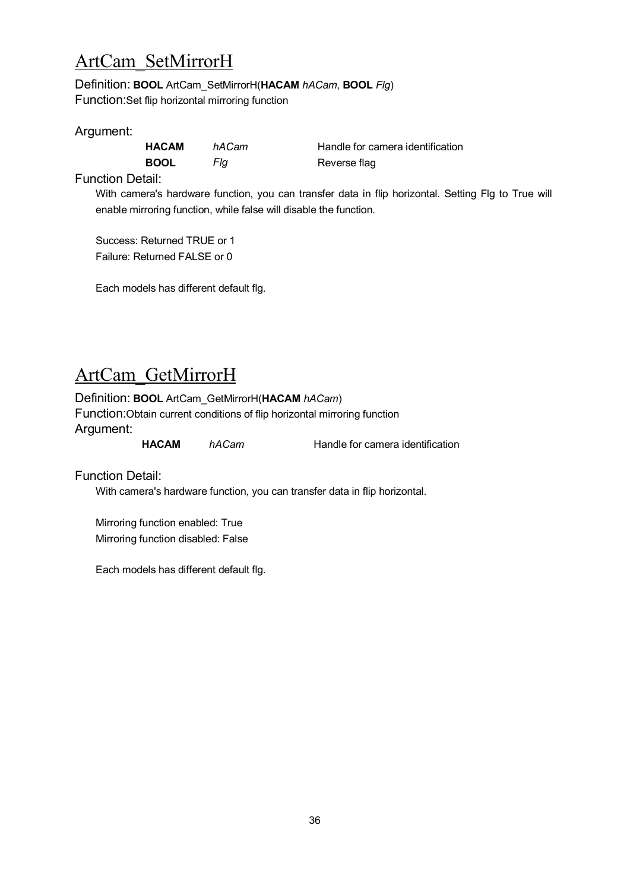### ArtCam\_SetMirrorH

Definition: **BOOL** ArtCam\_SetMirrorH(**HACAM** *hACam*, **BOOL** *Flg*) Function:Set flip horizontal mirroring function

#### Argument:

**BOOL** *Flg* Reverse flag

**HACAM** *hACam* Handle for camera identification

Function Detail:

With camera's hardware function, you can transfer data in flip horizontal. Setting Flg to True will enable mirroring function, while false will disable the function.

Success: Returned TRUE or 1 Failure: Returned FALSE or 0

Each models has different default flg.

### ArtCam\_GetMirrorH

#### Definition: **BOOL** ArtCam\_GetMirrorH(**HACAM** *hACam*)

Function:Obtain current conditions of flip horizontal mirroring function Argument:

**HACAM** *hACam* Handle for camera identification

Function Detail:

With camera's hardware function, you can transfer data in flip horizontal.

Mirroring function enabled: True Mirroring function disabled: False

Each models has different default flg.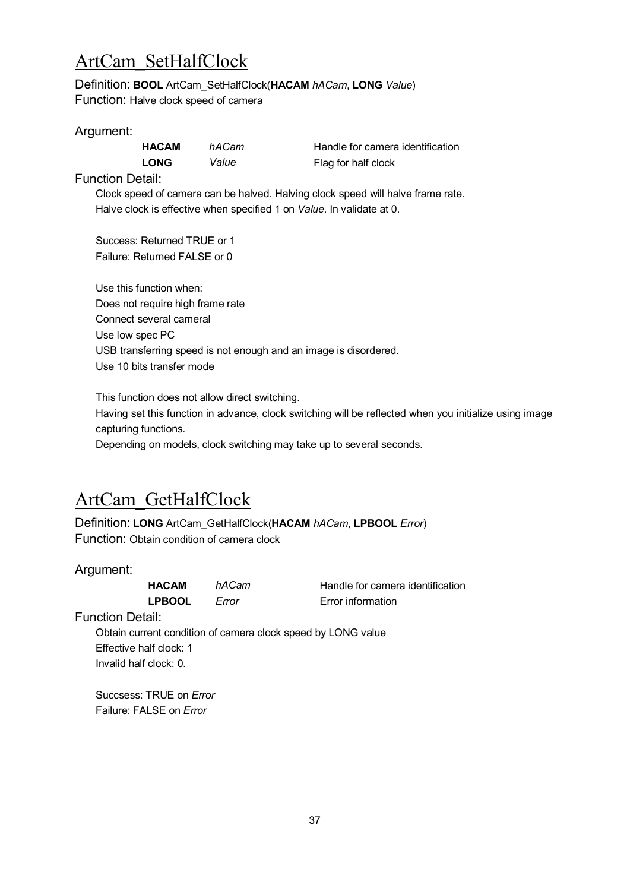## ArtCam\_SetHalfClock

Definition: **BOOL** ArtCam\_SetHalfClock(**HACAM** *hACam*, **LONG** *Value*) Function: Halve clock speed of camera

#### Argument:

**LONG** *Value* Flag for half clock

**HACAM** *hACam* Handle for camera identification

Function Detail:

Clock speed of camera can be halved. Halving clock speed will halve frame rate. Halve clock is effective when specified 1 on *Value*. In validate at 0.

Success: Returned TRUE or 1 Failure: Returned FALSE or 0

Use this function when: Does not require high frame rate Connect several cameral Use low spec PC USB transferring speed is not enough and an image is disordered. Use 10 bits transfer mode

This function does not allow direct switching.

Having set this function in advance, clock switching will be reflected when you initialize using image capturing functions.

Depending on models, clock switching may take up to several seconds.

### ArtCam\_GetHalfClock

Definition: **LONG** ArtCam\_GetHalfClock(**HACAM** *hACam*, **LPBOOL** *Error*) Function: Obtain condition of camera clock

Argument:

**LPBOOL** *Error* Error information

**HACAM** *hACam* Handle for camera identification

Function Detail:

Obtain current condition of camera clock speed by LONG value Effective half clock: 1 Invalid half clock: 0.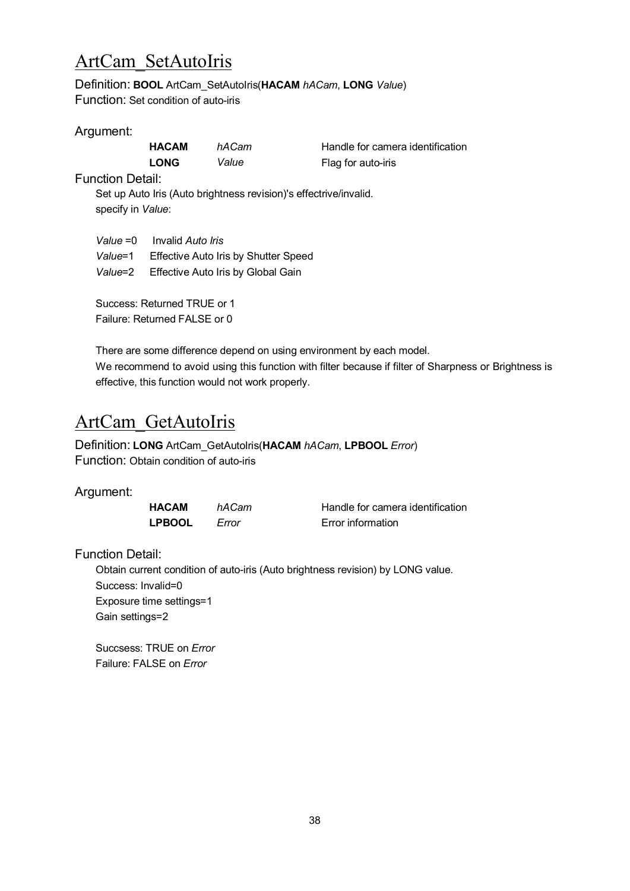### ArtCam\_SetAutoIris

Definition: **BOOL** ArtCam\_SetAutoIris(**HACAM** *hACam*, **LONG** *Value*) Function: Set condition of auto-iris

#### Argument:

| <b>HACAM</b> | hACam | Handle for came    |
|--------------|-------|--------------------|
| <b>LONG</b>  | Value | Flag for auto-iris |

**HACAM** *hACam* Handle for camera identification

Function Detail:

Set up Auto Iris (Auto brightness revision)'s effectrive/invalid. specify in *Value*:

*Value* =0 Invalid *Auto Iris Value*=1 Effective Auto Iris by Shutter Speed *Value*=2 Effective Auto Iris by Global Gain

Success: Returned TRUE or 1 Failure: Returned FALSE or 0

There are some difference depend on using environment by each model. We recommend to avoid using this function with filter because if filter of Sharpness or Brightness is effective, this function would not work properly.

#### ArtCam\_GetAutoIris

Definition: **LONG** ArtCam\_GetAutoIris(**HACAM** *hACam*, **LPBOOL** *Error*) Function: Obtain condition of auto-iris

#### Argument:

**LPBOOL** *Error* Error information

**HACAM** *hACam* Handle for camera identification

Function Detail:

Obtain current condition of auto-iris (Auto brightness revision) by LONG value. Success: Invalid=0 Exposure time settings=1 Gain settings=2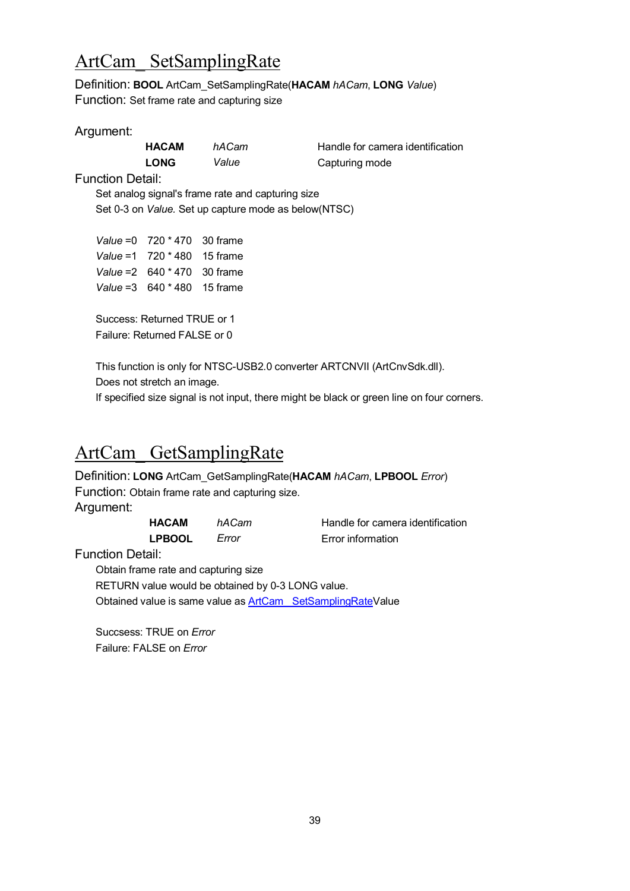### <span id="page-38-0"></span>ArtCam\_ SetSamplingRate

Definition: **BOOL** ArtCam\_SetSamplingRate(**HACAM** *hACam*, **LONG** *Value*) Function: Set frame rate and capturing size

#### Argument:

| <b>HACAM</b> | hACam | Handle for came |
|--------------|-------|-----------------|
| <b>LONG</b>  | Value | Capturing mode  |

**HACAM** *hACam* Handle for camera identification

Function Detail:

Set analog signal's frame rate and capturing size Set 0-3 on *Value.* Set up capture mode as below(NTSC)

*Value* =0 720 \* 470 30 frame *Value* =1 720 \* 480 15 frame *Value* =2 640 \* 470 30 frame *Value* =3 640 \* 480 15 frame

Success: Returned TRUE or 1 Failure: Returned FALSE or 0

This function is only for NTSC-USB2.0 converter ARTCNVII (ArtCnvSdk.dll). Does not stretch an image.

If specified size signal is not input, there might be black or green line on four corners.

### ArtCam\_ GetSamplingRate

Definition: **LONG** ArtCam\_GetSamplingRate(**HACAM** *hACam*, **LPBOOL** *Error*) Function: Obtain frame rate and capturing size. Argument: **HACAM** *hACam* Handle for camera identification

**LPBOOL** *Error* Error information

Function Detail:

Obtain frame rate and capturing size RETURN value would be obtained by 0-3 LONG value. Obtained value is same value as **ArtCam** SetSamplingRateValue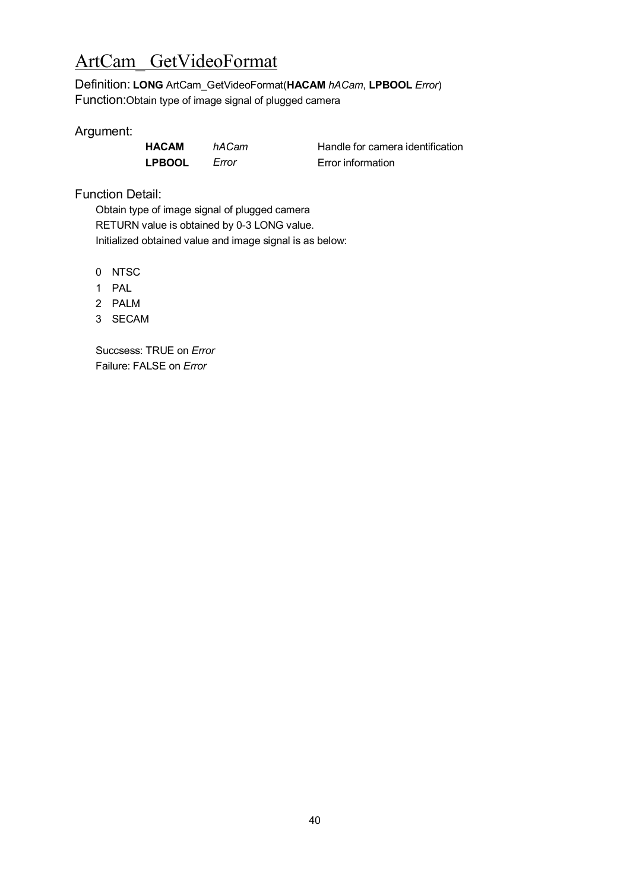# ArtCam\_ GetVideoFormat

Definition: **LONG** ArtCam\_GetVideoFormat(**HACAM** *hACam*, **LPBOOL** *Error*) Function:Obtain type of image signal of plugged camera

#### Argument:

**LPBOOL** *Error* Error information

**HACAM** *hACam* Handle for camera identification

Function Detail:

Obtain type of image signal of plugged camera RETURN value is obtained by 0-3 LONG value. Initialized obtained value and image signal is as below:

0 NTSC

- 1 PAL
- 2 PALM
- 3 SECAM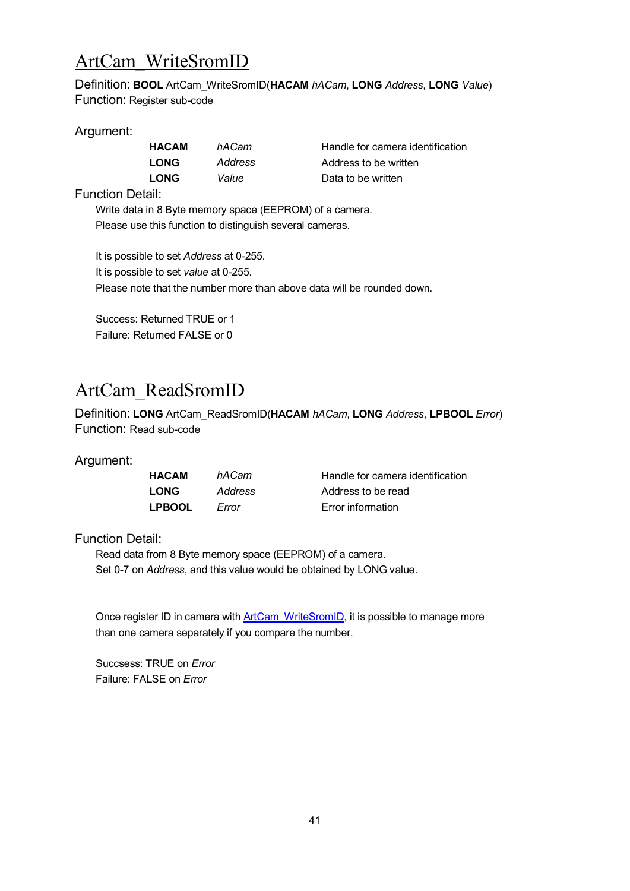### <span id="page-40-0"></span>ArtCam\_WriteSromID

Definition: **BOOL** ArtCam\_WriteSromID(**HACAM** *hACam*, **LONG** *Address*, **LONG** *Value*) Function: Register sub-code

#### Argument:

| ACAM       | hACa  |
|------------|-------|
| <b>DNG</b> | Addre |
| <b>DNG</b> | Value |

**HACAM** *hACam* Handle for camera identification **LONG** *Address* Address to be written **LONG** *Value* **Data to be written** 

Function Detail:

Write data in 8 Byte memory space (EEPROM) of a camera. Please use this function to distinguish several cameras.

It is possible to set *Address* at 0-255. It is possible to set *value* at 0-255. Please note that the number more than above data will be rounded down.

Success: Returned TRUE or 1 Failure: Returned FALSE or 0

# ArtCam\_ReadSromID

Definition: **LONG** ArtCam\_ReadSromID(**HACAM** *hACam*, **LONG** *Address*, **LPBOOL** *Error*) Function: Read sub-code

#### Argument:

| HACAM         | hACam   |
|---------------|---------|
| LONG          | Addres: |
| <b>LPBOOL</b> | Error   |

**Handle for camera identification LONG** *Address* Address to be read *Error* information

Function Detail:

Read data from 8 Byte memory space (EEPROM) of a camera. Set 0-7 on *Address*, and this value would be obtained by LONG value.

Once register ID in camera with [ArtCam\\_WriteSromID](#page-40-0), it is possible to manage more than one camera separately if you compare the number.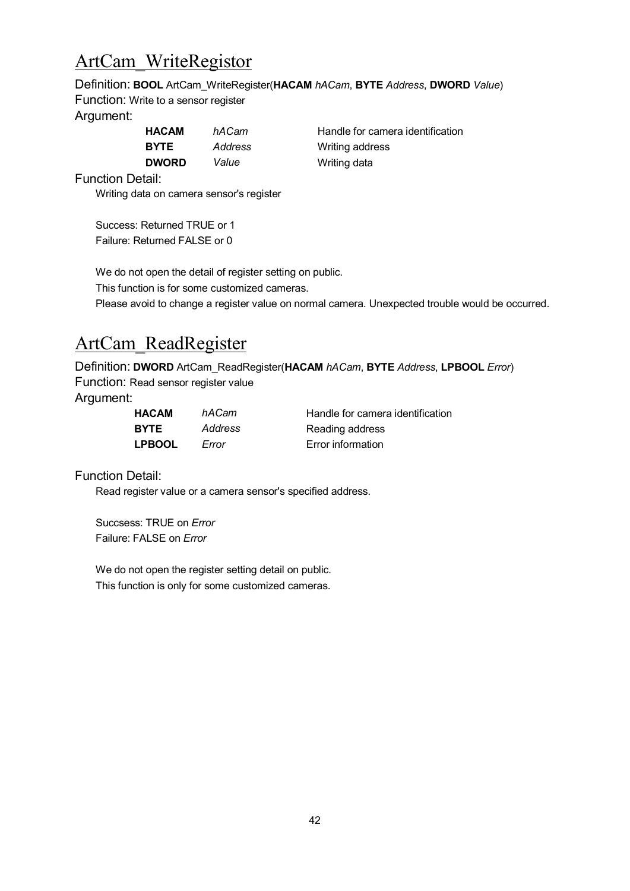### ArtCam\_WriteRegistor

Definition: **BOOL** ArtCam\_WriteRegister(**HACAM** *hACam*, **BYTE** *Address*, **DWORD** *Value*)

Function: Write to a sensor register

#### Argument:

| <b>HACAM</b> | hACam   | Handle for came |
|--------------|---------|-----------------|
| <b>BYTE</b>  | Address | Writing address |
| <b>DWORD</b> | Value   | Writing data    |

**HACAM** *hACam* Handle for camera identification

Function Detail:

Writing data on camera sensor's register

Success: Returned TRUE or 1 Failure: Returned FALSE or 0

We do not open the detail of register setting on public. This function is for some customized cameras. Please avoid to change a register value on normal camera. Unexpected trouble would be occurred.

## ArtCam\_ReadRegister

Definition: **DWORD** ArtCam\_ReadRegister(**HACAM** *hACam*, **BYTE** *Address*, **LPBOOL** *Error*) Function: Read sensor register value

Argument:

| <b>HACAM</b>  | hACam   | Handle for camera identification |
|---------------|---------|----------------------------------|
| <b>BYTE</b>   | Address | Reading address                  |
| <b>LPBOOL</b> | Error   | Error information                |

Function Detail:

Read register value or a camera sensor's specified address.

Succsess: TRUE on *Error* Failure: FALSE on *Error*

We do not open the register setting detail on public. This function is only for some customized cameras.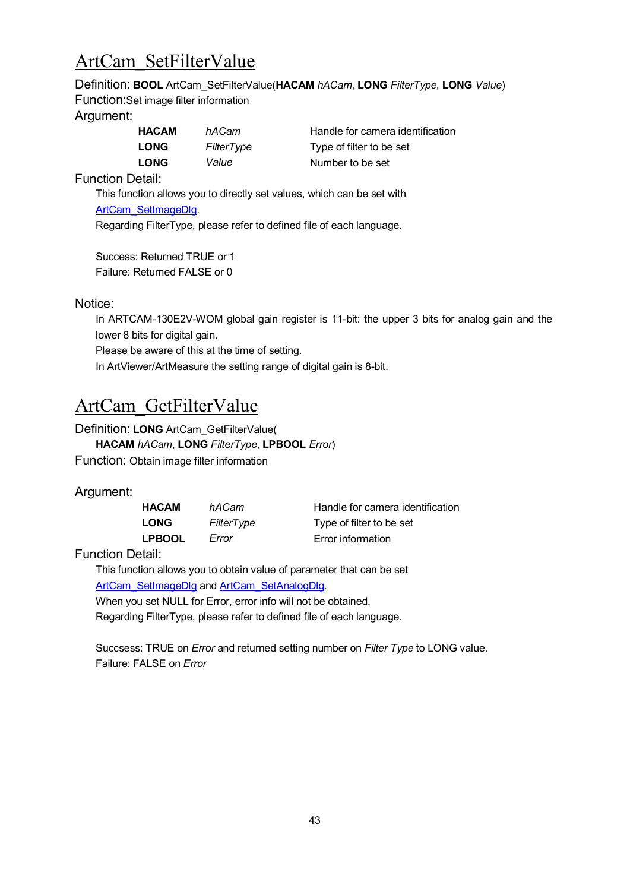# <span id="page-42-0"></span>ArtCam\_SetFilterValue

Definition: **BOOL** ArtCam\_SetFilterValue(**HACAM** *hACam*, **LONG** *FilterType*, **LONG** *Value*) Function:Set image filter information

#### Argument:

| <b>HACAM</b> | hACam      | Handle for camera    |
|--------------|------------|----------------------|
| <b>LONG</b>  | FilterType | Type of filter to be |
| <b>LONG</b>  | Value      | Number to be set     |

**HACAM** *hACam* Handle for camera identification **LONG** *FilterType* Type of filter to be set

Function Detail:

This function allows you to directly set values, which can be set with [ArtCam\\_SetImageDlg.](#page-18-0)

Regarding FilterType, please refer to defined file of each language.

Success: Returned TRUE or 1 Failure: Returned FALSE or 0

#### Notice:

In ARTCAM-130E2V-WOM global gain register is 11-bit: the upper 3 bits for analog gain and the lower 8 bits for digital gain.

Please be aware of this at the time of setting.

In ArtViewer/ArtMeasure the setting range of digital gain is 8-bit.

# <span id="page-42-1"></span>ArtCam\_GetFilterValue

Definition: **LONG** ArtCam\_GetFilterValue(

**HACAM** *hACam*, **LONG** *FilterType*, **LPBOOL** *Error*)

Function: Obtain image filter information

#### Argument:

| HACAM         | hACam      | Handle for camera identification |
|---------------|------------|----------------------------------|
| <b>LONG</b>   | FilterType | Type of filter to be set         |
| <b>LPBOOL</b> | Error      | Error information                |

Function Detail:

This function allows you to obtain value of parameter that can be set [ArtCam\\_SetImageDlg](#page-18-0) and [ArtCam\\_SetAnalogDlg.](#page-19-0)

When you set NULL for Error, error info will not be obtained.

Regarding FilterType, please refer to defined file of each language.

Succsess: TRUE on *Error* and returned setting number on *Filter Type* to LONG value. Failure: FALSE on *Error*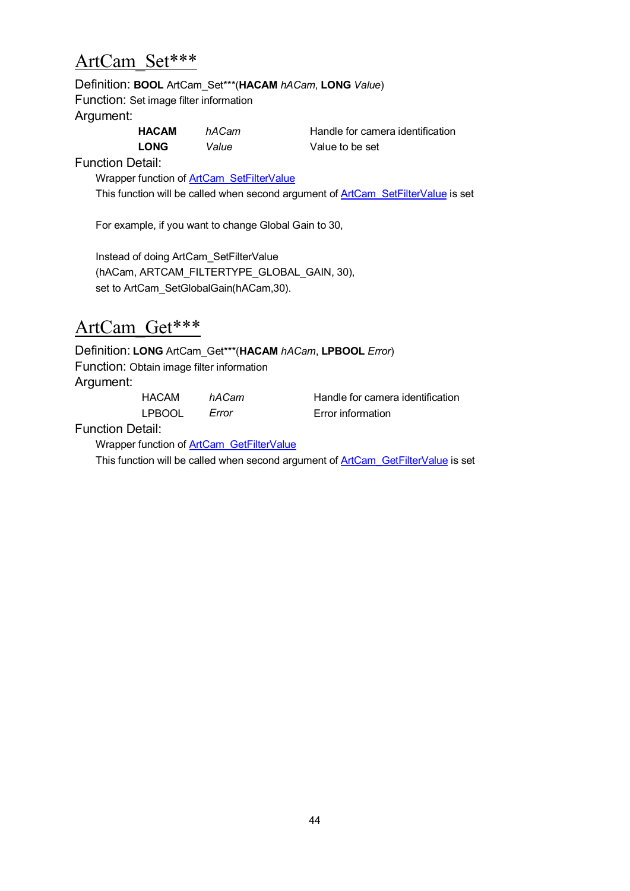#### ArtCam\_Set\*\*\*

#### Definition: **BOOL** ArtCam\_Set\*\*\*(**HACAM** *hACam*, **LONG** *Value*)

Function: Set image filter information

Argument:

| <b>HACAM</b> | hACam | Handle for came |
|--------------|-------|-----------------|
| <b>LONG</b>  | Value | Value to be set |

**HACAM** *hACam* **Handle for camera identification** 

Function Detail:

Wrapper function of **[ArtCam\\_SetFilterValue](#page-42-0)** This function will be called when second argument of [ArtCam\\_SetFilterValue](#page-42-0) is set

For example, if you want to change Global Gain to 30,

Instead of doing ArtCam\_SetFilterValue (hACam, ARTCAM\_FILTERTYPE\_GLOBAL\_GAIN, 30), set to ArtCam\_SetGlobalGain(hACam,30).

#### ArtCam\_Get\*\*\*

Definition: **LONG** ArtCam\_Get\*\*\*(**HACAM** *hACam*, **LPBOOL** *Error*) Function: Obtain image filter information Argument:

LPBOOL *Error* Error information

HACAM *hACam* Handle for camera identification

Function Detail:

Wrapper function of [ArtCam\\_GetFilterValue](#page-42-1)

This function will be called when second argument of [ArtCam\\_GetFilterValue](#page-42-1) is set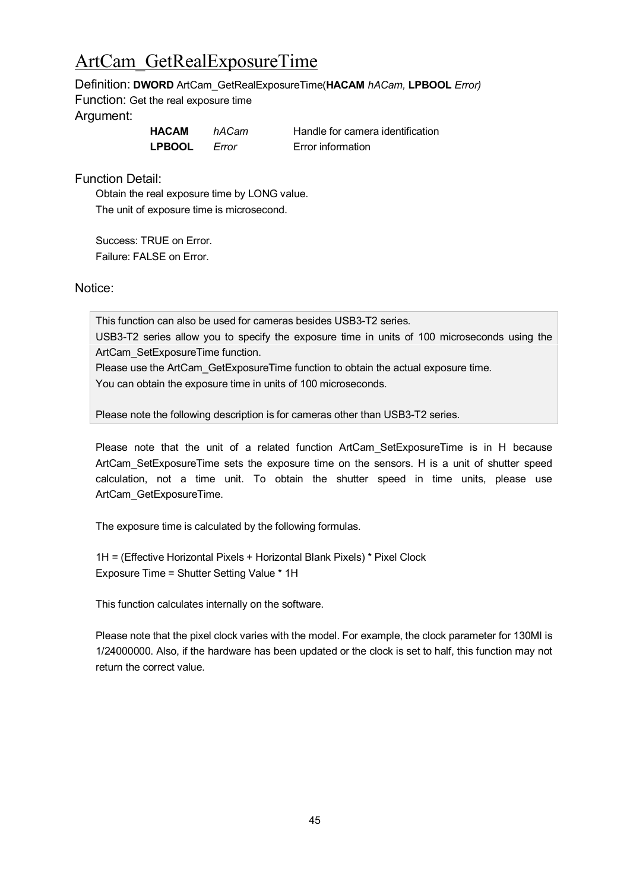# <span id="page-44-0"></span>ArtCam\_GetRealExposureTime

#### Definition: **DWORD** ArtCam\_GetRealExposureTime(**HACAM** *hACam,* **LPBOOL** *Error)*

Function: Get the real exposure time Argument:

| HACAM         | hACam | Н |
|---------------|-------|---|
| <b>LPBOOL</b> | Error | F |

**Handle for camera identification** *<u>Error</u>* information

Function Detail:

Obtain the real exposure time by LONG value. The unit of exposure time is microsecond.

Success: TRUE on Error. Failure: FALSE on Error.

Notice:

This function can also be used for cameras besides USB3-T2 series.

USB3-T2 series allow you to specify the exposure time in units of 100 microseconds using the ArtCam\_SetExposureTime function.

Please use the ArtCam GetExposureTime function to obtain the actual exposure time.

You can obtain the exposure time in units of 100 microseconds.

Please note the following description is for cameras other than USB3-T2 series.

Please note that the unit of a related function ArtCam SetExposureTime is in H because ArtCam\_SetExposureTime sets the exposure time on the sensors. H is a unit of shutter speed calculation, not a time unit. To obtain the shutter speed in time units, please use ArtCam\_GetExposureTime.

The exposure time is calculated by the following formulas.

1H = (Effective Horizontal Pixels + Horizontal Blank Pixels) \* Pixel Clock Exposure Time = Shutter Setting Value \* 1H

This function calculates internally on the software.

Please note that the pixel clock varies with the model. For example, the clock parameter for 130MI is 1/24000000. Also, if the hardware has been updated or the clock is set to half, this function may not return the correct value.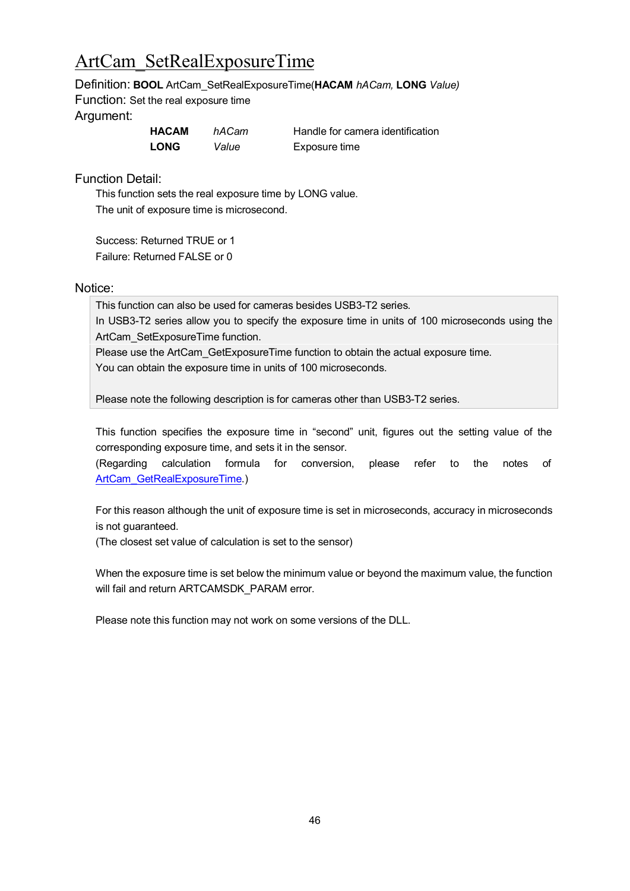# ArtCam\_SetRealExposureTime

Definition: **BOOL** ArtCam\_SetRealExposureTime(**HACAM** *hACam,* **LONG** *Value)*

Function: Set the real exposure time

#### Argument:

| HACAM       | hACam | Han        |
|-------------|-------|------------|
| <b>LONG</b> | Value | <b>Exp</b> |

**dle for camera identification Long Long** 

Function Detail:

This function sets the real exposure time by LONG value. The unit of exposure time is microsecond.

Success: Returned TRUE or 1 Failure: Returned FALSE or 0

#### Notice:

This function can also be used for cameras besides USB3-T2 series.

In USB3-T2 series allow you to specify the exposure time in units of 100 microseconds using the ArtCam\_SetExposureTime function.

Please use the ArtCam\_GetExposureTime function to obtain the actual exposure time.

You can obtain the exposure time in units of 100 microseconds.

Please note the following description is for cameras other than USB3-T2 series.

This function specifies the exposure time in "second" unit, figures out the setting value of the corresponding exposure time, and sets it in the sensor.

(Regarding calculation formula for conversion, please refer to the notes of [ArtCam\\_GetRealExposureTime](#page-44-0).)

For this reason although the unit of exposure time is set in microseconds, accuracy in microseconds is not guaranteed.

(The closest set value of calculation is set to the sensor)

When the exposure time is set below the minimum value or beyond the maximum value, the function will fail and return ARTCAMSDK\_PARAM error.

Please note this function may not work on some versions of the DLL.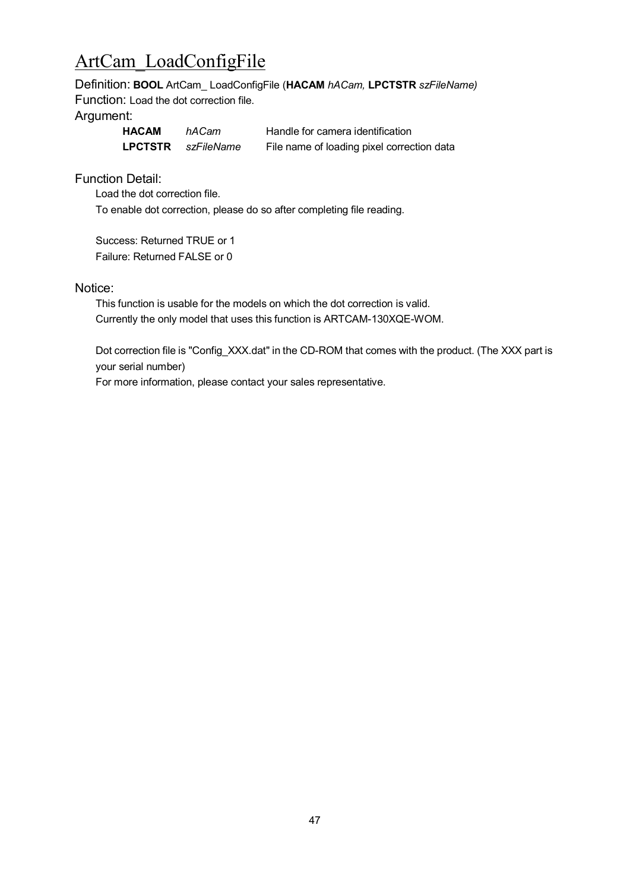# ArtCam\_LoadConfigFile

Definition: **BOOL** ArtCam\_ LoadConfigFile (**HACAM** *hACam,* **LPCTSTR** *szFileName)* Function: Load the dot correction file.

#### Argument:

| <b>HACAM</b>   | hACam      | Handle for camera identification           |
|----------------|------------|--------------------------------------------|
| <b>LPCTSTR</b> | szFileName | File name of loading pixel correction data |

Function Detail:

Load the dot correction file.

To enable dot correction, please do so after completing file reading.

Success: Returned TRUE or 1 Failure: Returned FALSE or 0

#### Notice:

This function is usable for the models on which the dot correction is valid. Currently the only model that uses this function is ARTCAM-130XQE-WOM.

Dot correction file is "Config\_XXX.dat" in the CD-ROM that comes with the product. (The XXX part is your serial number)

For more information, please contact your sales representative.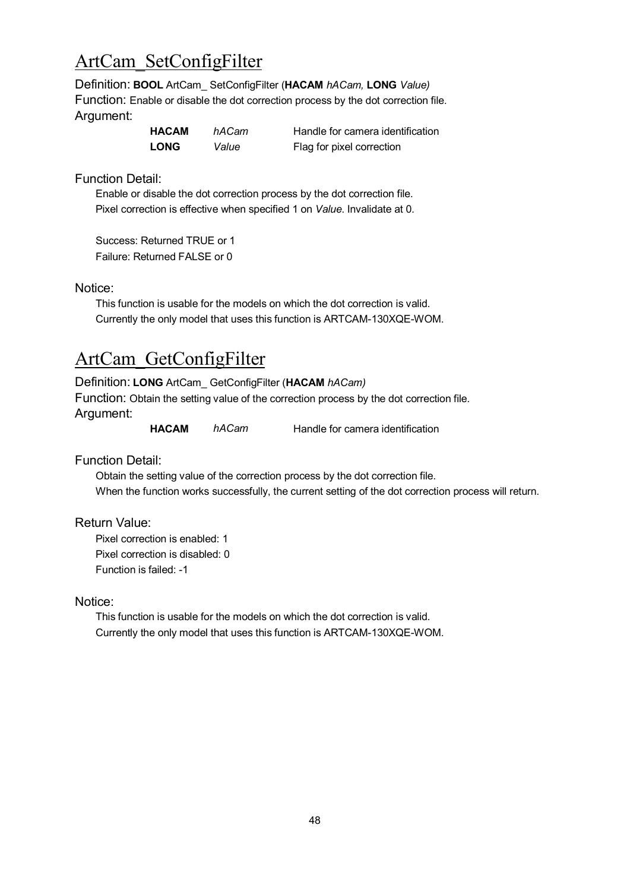# ArtCam\_SetConfigFilter

Definition: **BOOL** ArtCam\_ SetConfigFilter (**HACAM** *hACam,* **LONG** *Value)* Function: Enable or disable the dot correction process by the dot correction file. Argument:

| HACAM       | hACam | Handle for camera iden    |
|-------------|-------|---------------------------|
| <b>LONG</b> | Value | Flag for pixel correction |

*Hackberra identification* 

Function Detail:

Enable or disable the dot correction process by the dot correction file. Pixel correction is effective when specified 1 on *Value*. Invalidate at 0.

Success: Returned TRUE or 1 Failure: Returned FALSE or 0

Notice:

This function is usable for the models on which the dot correction is valid. Currently the only model that uses this function is ARTCAM-130XQE-WOM.

## ArtCam\_GetConfigFilter

Definition: **LONG** ArtCam\_ GetConfigFilter (**HACAM** *hACam)* Function: Obtain the setting value of the correction process by the dot correction file. Argument:

**HACAM** *hACam* Handle for camera identification

Function Detail:

Obtain the setting value of the correction process by the dot correction file. When the function works successfully, the current setting of the dot correction process will return.

Return Value:

Pixel correction is enabled: 1 Pixel correction is disabled: 0 Function is failed: -1

Notice:

This function is usable for the models on which the dot correction is valid. Currently the only model that uses this function is ARTCAM-130XQE-WOM.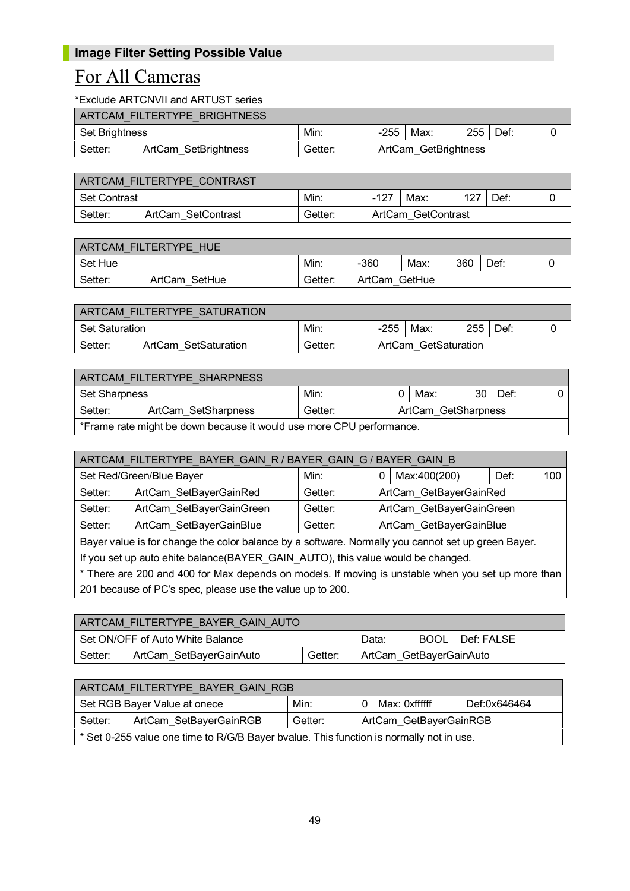#### For All Cameras

\*Exclude ARTCNVII and ARTUST series

|                | ARTCAM FILTERTYPE BRIGHTNESS |         |                      |            |  |
|----------------|------------------------------|---------|----------------------|------------|--|
| Set Brightness |                              | Min:    | -255   Max:          | $255$ Def: |  |
| Setter:        | ArtCam SetBrightness         | Getter: | ArtCam GetBrightness |            |  |

|              | ARTCAM FILTERTYPE CONTRAST |         |        |                    |     |      |  |
|--------------|----------------------------|---------|--------|--------------------|-----|------|--|
| Set Contrast |                            | Min.    | $-127$ | Max:               | 127 | Def: |  |
| Setter:      | ArtCam SetContrast         | Getter: |        | ArtCam GetContrast |     |      |  |

|         | ARTCAM FILTERTYPE HUE |         |               |      |     |      |  |
|---------|-----------------------|---------|---------------|------|-----|------|--|
| Set Hue |                       | Min:    | -360          | Max: | 360 | Def: |  |
| Setter: | ArtCam SetHue         | Getter: | ArtCam GetHue |      |     |      |  |

|                       | ARTCAM FILTERTYPE SATURATION |         |      |                      |         |      |  |
|-----------------------|------------------------------|---------|------|----------------------|---------|------|--|
| <b>Set Saturation</b> |                              | Min:    | -255 | Max:                 | $255 -$ | Def: |  |
| Setter:               | ArtCam SetSaturation         | Getter: |      | ArtCam GetSaturation |         |      |  |

| ARTCAM FILTERTYPE SHARPNESS |                                                                          |         |  |                     |      |      |  |  |  |
|-----------------------------|--------------------------------------------------------------------------|---------|--|---------------------|------|------|--|--|--|
| <b>Set Sharpness</b>        |                                                                          | Min:    |  | Max:                | 30 I | Def: |  |  |  |
| Setter:                     | ArtCam SetSharpness                                                      | Getter: |  | ArtCam GetSharpness |      |      |  |  |  |
|                             | $^*$ Frame rate might he down because it would use more CPLI performance |         |  |                     |      |      |  |  |  |

\*Frame rate might be down because it would use more CPU performance.

| ARTCAM_FILTERTYPE_BAYER_GAIN_R / BAYER_GAIN_G / BAYER_GAIN_B |                          |                                   |  |                          |      |     |  |  |
|--------------------------------------------------------------|--------------------------|-----------------------------------|--|--------------------------|------|-----|--|--|
|                                                              | Set Red/Green/Blue Bayer | Min:                              |  | Max:400(200)             | Def: | 100 |  |  |
| Setter:                                                      | ArtCam SetBayerGainRed   | ArtCam GetBayerGainRed<br>Getter: |  |                          |      |     |  |  |
| Setter:                                                      | ArtCam SetBayerGainGreen | Getter:                           |  | ArtCam GetBayerGainGreen |      |     |  |  |
| Setter:                                                      | ArtCam SetBayerGainBlue  | Getter:                           |  | ArtCam GetBayerGainBlue  |      |     |  |  |

Bayer value is for change the color balance by a software. Normally you cannot set up green Bayer.

If you set up auto ehite balance(BAYER\_GAIN\_AUTO), this value would be changed.

\* There are 200 and 400 for Max depends on models. If moving is unstable when you set up more than 201 because of PC's spec, please use the value up to 200.

|         | ARTCAM FILTERTYPE BAYER GAIN AUTO |         |                         |             |            |
|---------|-----------------------------------|---------|-------------------------|-------------|------------|
|         | Set ON/OFF of Auto White Balance  |         | Data:                   | <b>BOOL</b> | Def: FALSE |
| Setter: | ArtCam SetBayerGainAuto           | Getter: | ArtCam GetBayerGainAuto |             |            |

| ARTCAM FILTERTYPE BAYER GAIN RGB |                                                                                         |         |  |                        |              |  |  |
|----------------------------------|-----------------------------------------------------------------------------------------|---------|--|------------------------|--------------|--|--|
|                                  | Set RGB Bayer Value at onece                                                            | Min:    |  | Max: 0xffffff          | Def:0x646464 |  |  |
| Setter:                          | ArtCam SetBayerGainRGB                                                                  | Getter: |  | ArtCam GetBayerGainRGB |              |  |  |
|                                  | * Set 0-255 value one time to R/G/B Bayer bvalue. This function is normally not in use. |         |  |                        |              |  |  |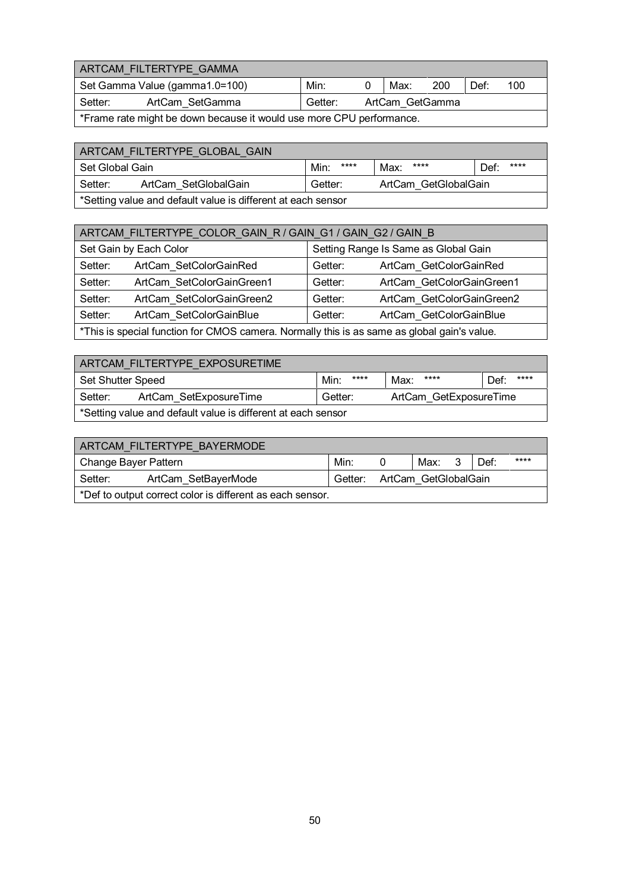|         | ARTCAM FILTERTYPE GAMMA                                              |         |                 |     |      |     |
|---------|----------------------------------------------------------------------|---------|-----------------|-----|------|-----|
|         | Set Gamma Value (gamma1.0=100)                                       | Min:    | Max:            | 200 | Def: | 100 |
| Setter: | ArtCam SetGamma                                                      | Getter: | ArtCam GetGamma |     |      |     |
|         | *Frame rate might be down because it would use more CPU performance. |         |                 |     |      |     |

| ARTCAM FILTERTYPE GLOBAL GAIN |                                                              |              |                      |              |  |  |  |  |
|-------------------------------|--------------------------------------------------------------|--------------|----------------------|--------------|--|--|--|--|
| Set Global Gain               |                                                              | ****<br>Min: | ****<br>Max:         | ****<br>Def: |  |  |  |  |
| Setter:                       | ArtCam SetGlobalGain                                         | Getter:      | ArtCam GetGlobalGain |              |  |  |  |  |
|                               | *Setting value and default value is different at each sensor |              |                      |              |  |  |  |  |

| ARTCAM_FILTERTYPE_COLOR_GAIN_R / GAIN_G1 / GAIN_G2 / GAIN_B                                 |                           |                                      |                           |  |  |  |  |
|---------------------------------------------------------------------------------------------|---------------------------|--------------------------------------|---------------------------|--|--|--|--|
|                                                                                             | Set Gain by Each Color    | Setting Range Is Same as Global Gain |                           |  |  |  |  |
| Setter:                                                                                     | ArtCam_SetColorGainRed    | ArtCam_GetColorGainRed<br>Getter:    |                           |  |  |  |  |
| Setter:                                                                                     | ArtCam SetColorGainGreen1 | Getter:                              | ArtCam GetColorGainGreen1 |  |  |  |  |
| Setter:                                                                                     | ArtCam SetColorGainGreen2 | Getter:                              | ArtCam GetColorGainGreen2 |  |  |  |  |
| Setter:<br>ArtCam SetColorGainBlue<br>Getter:<br>ArtCam GetColorGainBlue                    |                           |                                      |                           |  |  |  |  |
| *This is special function for CMOS camera. Normally this is as same as global gain's value. |                           |                                      |                           |  |  |  |  |

| ARTCAM FILTERTYPE EXPOSURETIME                               |                                                             |              |              |              |  |  |  |  |
|--------------------------------------------------------------|-------------------------------------------------------------|--------------|--------------|--------------|--|--|--|--|
| Set Shutter Speed                                            |                                                             | ****<br>Min: | ****<br>Max: | ****<br>Def: |  |  |  |  |
| Setter:                                                      | ArtCam SetExposureTime<br>ArtCam GetExposureTime<br>Getter: |              |              |              |  |  |  |  |
| *Setting value and default value is different at each sensor |                                                             |              |              |              |  |  |  |  |

| ARTCAM FILTERTYPE BAYERMODE                               |                     |  |                              |  |      |      |  |  |
|-----------------------------------------------------------|---------------------|--|------------------------------|--|------|------|--|--|
| Change Bayer Pattern                                      | Min:                |  | Max: 3                       |  | Def: | **** |  |  |
| Setter:                                                   | ArtCam SetBayerMode |  | Getter: ArtCam GetGlobalGain |  |      |      |  |  |
| *Def to output correct color is different as each sensor. |                     |  |                              |  |      |      |  |  |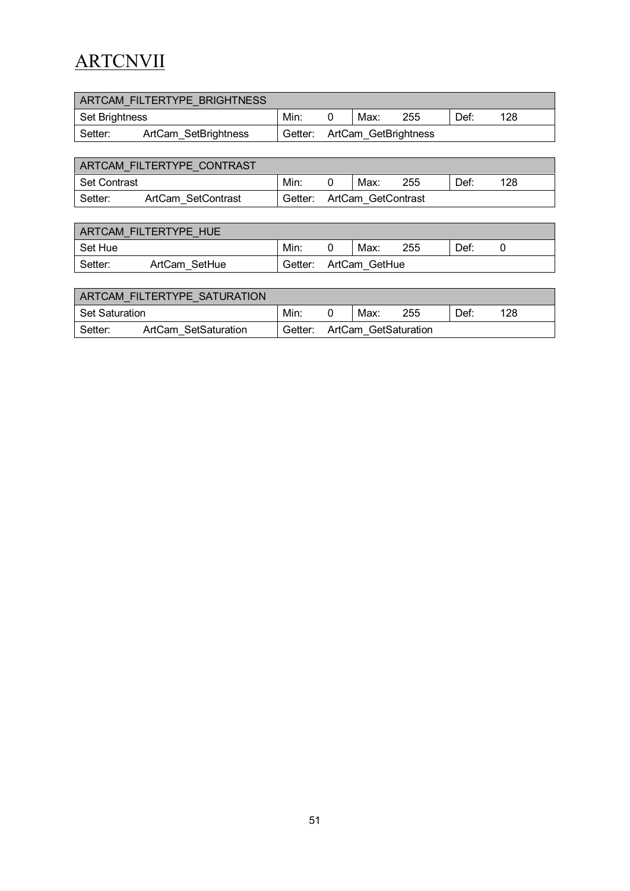# **ARTCNVII**

| ARTCAM FILTERTYPE BRIGHTNESS |                      |         |                      |      |     |      |     |
|------------------------------|----------------------|---------|----------------------|------|-----|------|-----|
| Set Brightness               | Min:                 |         |                      | Max: | 255 | Def: | 128 |
| Setter:                      | ArtCam SetBrightness | Getter: | ArtCam GetBrightness |      |     |      |     |

|              | ARTCAM FILTERTYPE CONTRAST |         |                    |     |      |     |  |
|--------------|----------------------------|---------|--------------------|-----|------|-----|--|
| Set Contrast | Min                        |         | Max:               | 255 | Def: | 128 |  |
| Setter:      | ArtCam SetContrast         | Getter: | ArtCam GetContrast |     |      |     |  |

|         | ARTCAM FILTERTYPE HUE |         |               |      |     |      |  |
|---------|-----------------------|---------|---------------|------|-----|------|--|
| Set Hue |                       | Min.    |               | Max: | 255 | Def: |  |
| Setter: | ArtCam SetHue         | Getter: | ArtCam GetHue |      |     |      |  |

| ARTCAM FILTERTYPE SATURATION |                      |         |                      |     |      |     |  |
|------------------------------|----------------------|---------|----------------------|-----|------|-----|--|
| l Set Saturation.            | Min                  |         | Max:                 | 255 | Def: | 128 |  |
| Setter:                      | ArtCam SetSaturation | Getter: | ArtCam GetSaturation |     |      |     |  |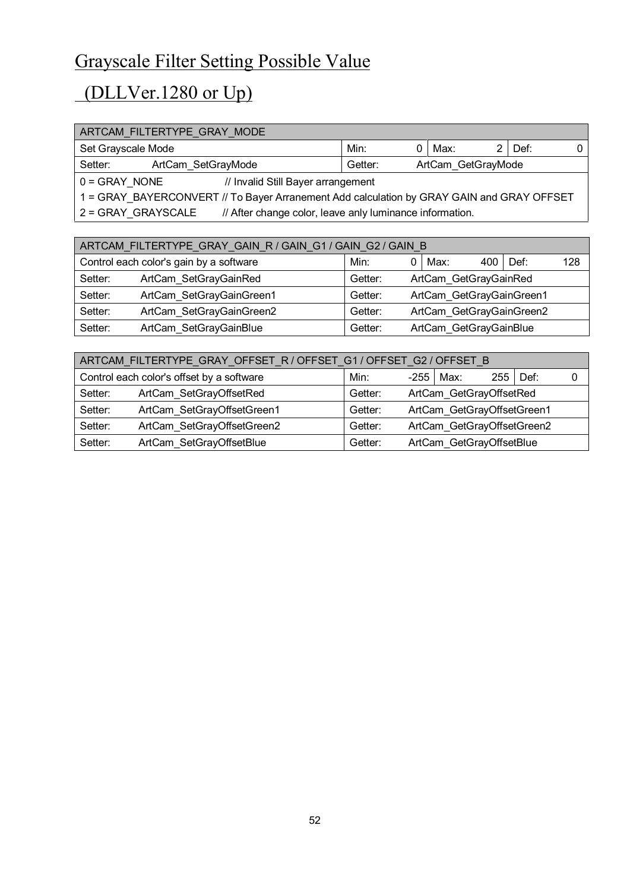# Grayscale Filter Setting Possible Value

# (DLLVer.1280 or Up)

| ARTCAM_FILTERTYPE_GRAY_MODE                                    |      |                                                                                           |      |  |      |  |  |  |
|----------------------------------------------------------------|------|-------------------------------------------------------------------------------------------|------|--|------|--|--|--|
| Set Grayscale Mode                                             | Min: |                                                                                           | Max: |  | Def: |  |  |  |
| ArtCam_GetGrayMode<br>Setter:<br>ArtCam SetGrayMode<br>Getter: |      |                                                                                           |      |  |      |  |  |  |
| $0 =$ GRAY NONE<br>// Invalid Still Bayer arrangement          |      |                                                                                           |      |  |      |  |  |  |
|                                                                |      | 1 = GRAY BAYERCONVERT // To Bayer Arranement Add calculation by GRAY GAIN and GRAY OFFSET |      |  |      |  |  |  |
| 2 = GRAY GRAYSCALE                                             |      | // After change color, leave anly luminance information.                                  |      |  |      |  |  |  |
|                                                                |      |                                                                                           |      |  |      |  |  |  |
| TERTVDE ODAV OAIN DIOAIN OLIOANI OOIOAIN D                     |      |                                                                                           |      |  |      |  |  |  |

| ARTCAM FILTERTYPE GRAY GAIN R / GAIN G1 / GAIN G2 / GAIN B |                                                             |         |                          |     |      |     |  |  |
|------------------------------------------------------------|-------------------------------------------------------------|---------|--------------------------|-----|------|-----|--|--|
| Control each color's gain by a software                    | Min:                                                        |         | Max:                     | 400 | Def: | 128 |  |  |
| Setter:                                                    | ArtCam SetGrayGainRed                                       | Getter: | ArtCam_GetGrayGainRed    |     |      |     |  |  |
| Setter:                                                    | ArtCam SetGrayGainGreen1                                    | Getter: | ArtCam GetGrayGainGreen1 |     |      |     |  |  |
| Setter:                                                    | ArtCam SetGrayGainGreen2                                    | Getter: | ArtCam GetGrayGainGreen2 |     |      |     |  |  |
| Setter:                                                    | ArtCam SetGrayGainBlue<br>ArtCam GetGrayGainBlue<br>Getter: |         |                          |     |      |     |  |  |

| ARTCAM_FILTERTYPE_GRAY_OFFSET_R                    / OFFSET_G1        / OFFSET_G2        / OFFSET_B |                                           |                                    |                            |                            |     |      |  |  |
|-----------------------------------------------------------------------------------------------------|-------------------------------------------|------------------------------------|----------------------------|----------------------------|-----|------|--|--|
|                                                                                                     | Control each color's offset by a software | Min:                               | -255                       | Max:                       | 255 | Def: |  |  |
| Setter:                                                                                             | ArtCam SetGrayOffsetRed                   | ArtCam GetGrayOffsetRed<br>Getter: |                            |                            |     |      |  |  |
| Setter:                                                                                             | ArtCam_SetGrayOffsetGreen1                | Getter:                            |                            | ArtCam GetGrayOffsetGreen1 |     |      |  |  |
| Setter:                                                                                             | ArtCam SetGrayOffsetGreen2                | Getter:                            | ArtCam GetGrayOffsetGreen2 |                            |     |      |  |  |
| Setter:                                                                                             | ArtCam SetGrayOffsetBlue                  | Getter:                            |                            | ArtCam GetGrayOffsetBlue   |     |      |  |  |